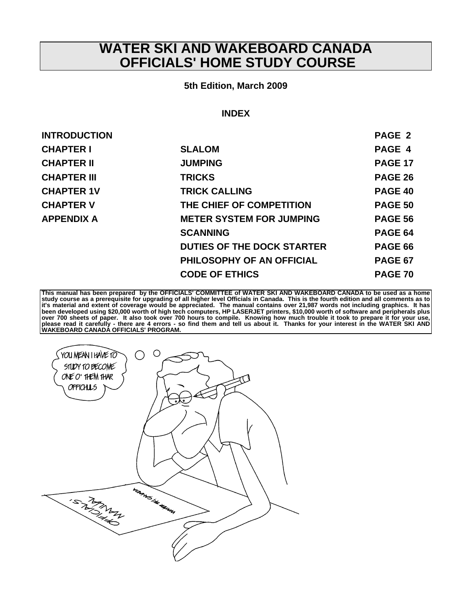# **WATER SKI AND WAKEBOARD CANADA OFFICIALS' HOME STUDY COURSE**

#### **5th Edition, March 2009**

#### **INDEX**

| <b>INTRODUCTION</b> |                                   | PAGE 2         |
|---------------------|-----------------------------------|----------------|
| <b>CHAPTER I</b>    | <b>SLALOM</b>                     | PAGE 4         |
| <b>CHAPTER II</b>   | <b>JUMPING</b>                    | <b>PAGE 17</b> |
| <b>CHAPTER III</b>  | <b>TRICKS</b>                     | <b>PAGE 26</b> |
| <b>CHAPTER 1V</b>   | <b>TRICK CALLING</b>              | PAGE 40        |
| <b>CHAPTER V</b>    | THE CHIEF OF COMPETITION          | <b>PAGE 50</b> |
| <b>APPENDIX A</b>   | <b>METER SYSTEM FOR JUMPING</b>   | <b>PAGE 56</b> |
|                     | <b>SCANNING</b>                   | <b>PAGE 64</b> |
|                     | <b>DUTIES OF THE DOCK STARTER</b> | <b>PAGE 66</b> |
|                     | PHILOSOPHY OF AN OFFICIAL         | <b>PAGE 67</b> |
|                     | <b>CODE OF ETHICS</b>             | <b>PAGE 70</b> |
|                     |                                   |                |

**This manual has been prepared by the OFFICIALS' COMMITTEE of WATER SKI AND WAKEBOARD CANADA to be used as a home**  study course as a prerequisite for upgrading of all higher level Officials in Canada. This is the fourth edition and all comments as to<br>it's material and extent of coverage would be appreciated. The manual contains over 21

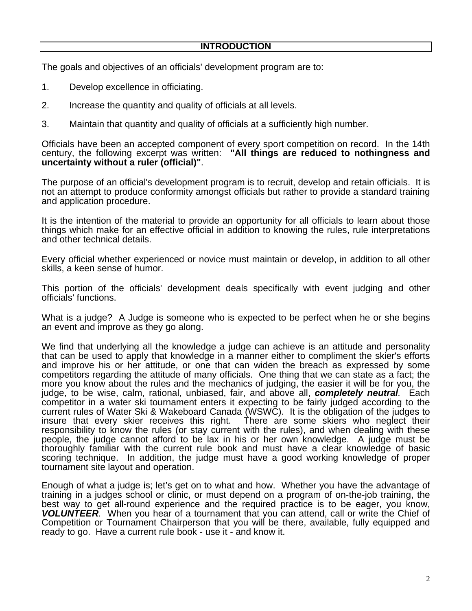The goals and objectives of an officials' development program are to:

- 1. Develop excellence in officiating.
- 2. Increase the quantity and quality of officials at all levels.
- 3. Maintain that quantity and quality of officials at a sufficiently high number.

Officials have been an accepted component of every sport competition on record. In the 14th century, the following excerpt was written: **"All things are reduced to nothingness and uncertainty without a ruler (official)"**.

The purpose of an official's development program is to recruit, develop and retain officials. It is not an attempt to produce conformity amongst officials but rather to provide a standard training and application procedure.

It is the intention of the material to provide an opportunity for all officials to learn about those things which make for an effective official in addition to knowing the rules, rule interpretations and other technical details.

Every official whether experienced or novice must maintain or develop, in addition to all other skills, a keen sense of humor.

This portion of the officials' development deals specifically with event judging and other officials' functions.

What is a judge? A Judge is someone who is expected to be perfect when he or she begins an event and improve as they go along.

We find that underlying all the knowledge a judge can achieve is an attitude and personality that can be used to apply that knowledge in a manner either to compliment the skier's efforts and improve his or her attitude, or one that can widen the breach as expressed by some competitors regarding the attitude of many officials. One thing that we can state as a fact; the more you know about the rules and the mechanics of judging, the easier it will be for you, the judge, to be wise, calm, rational, unbiased, fair, and above all, *completely neutral.* Each competitor in a water ski tournament enters it expecting to be fairly judged according to the current rules of Water Ski & Wakeboard Canada (WSWC). It is the obligation of the judges to insure that every skier receives this right. There are some skiers who neglect their responsibility to know the rules (or stay current with the rules), and when dealing with these people, the judge cannot afford to be lax in his or her own knowledge. A judge must be thoroughly familiar with the current rule book and must have a clear knowledge of basic scoring technique. In addition, the judge must have a good working knowledge of proper tournament site layout and operation.

Enough of what a judge is; let's get on to what and how. Whether you have the advantage of training in a judges school or clinic, or must depend on a program of on-the-job training, the best way to get all-round experience and the required practice is to be eager, you know, *VOLUNTEER.* When you hear of a tournament that you can attend, call or write the Chief of Competition or Tournament Chairperson that you will be there, available, fully equipped and ready to go. Have a current rule book - use it - and know it.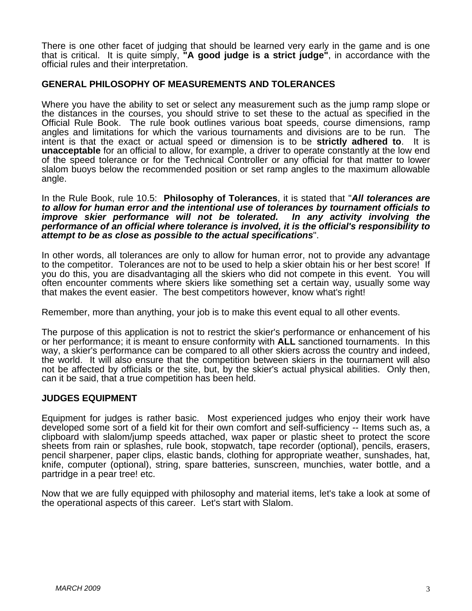There is one other facet of judging that should be learned very early in the game and is one that is critical. It is quite simply, **"A good judge is a strict judge"**, in accordance with the official rules and their interpretation.

# **GENERAL PHILOSOPHY OF MEASUREMENTS AND TOLERANCES**

Where you have the ability to set or select any measurement such as the jump ramp slope or the distances in the courses, you should strive to set these to the actual as specified in the Official Rule Book. The rule book outlines various boat speeds, course dimensions, ramp angles and limitations for which the various tournaments and divisions are to be run. The intent is that the exact or actual speed or dimension is to be **strictly adhered to**. It is **unacceptable** for an official to allow, for example, a driver to operate constantly at the low end of the speed tolerance or for the Technical Controller or any official for that matter to lower slalom buoys below the recommended position or set ramp angles to the maximum allowable angle.

In the Rule Book, rule 10.5: **Philosophy of Tolerances**, it is stated that "*All tolerances are to allow for human error and the intentional use of tolerances by tournament officials to improve skier performance will not be tolerated. performance of an official where tolerance is involved, it is the official's responsibility to attempt to be as close as possible to the actual specifications*".

In other words, all tolerances are only to allow for human error, not to provide any advantage to the competitor. Tolerances are not to be used to help a skier obtain his or her best score! If you do this, you are disadvantaging all the skiers who did not compete in this event. You will often encounter comments where skiers like something set a certain way, usually some way that makes the event easier. The best competitors however, know what's right!

Remember, more than anything, your job is to make this event equal to all other events.

The purpose of this application is not to restrict the skier's performance or enhancement of his or her performance; it is meant to ensure conformity with **ALL** sanctioned tournaments. In this way, a skier's performance can be compared to all other skiers across the country and indeed, the world. It will also ensure that the competition between skiers in the tournament will also not be affected by officials or the site, but, by the skier's actual physical abilities. Only then, can it be said, that a true competition has been held.

#### **JUDGES EQUIPMENT**

Equipment for judges is rather basic. Most experienced judges who enjoy their work have developed some sort of a field kit for their own comfort and self-sufficiency -- Items such as, a clipboard with slalom/jump speeds attached, wax paper or plastic sheet to protect the score sheets from rain or splashes, rule book, stopwatch, tape recorder (optional), pencils, erasers, pencil sharpener, paper clips, elastic bands, clothing for appropriate weather, sunshades, hat, knife, computer (optional), string, spare batteries, sunscreen, munchies, water bottle, and a partridge in a pear tree! etc.

Now that we are fully equipped with philosophy and material items, let's take a look at some of the operational aspects of this career. Let's start with Slalom.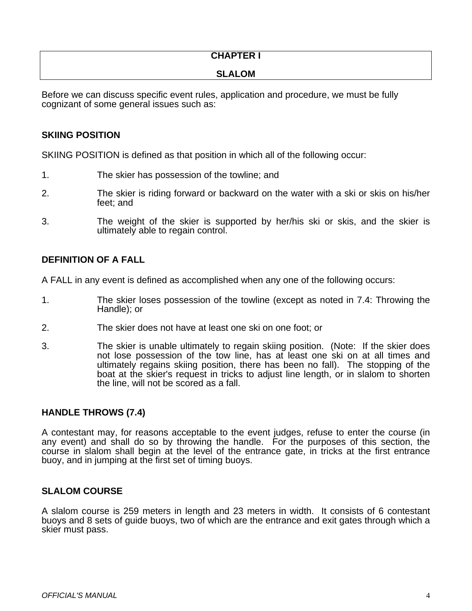# **CHAPTER I**

# **SLALOM**

Before we can discuss specific event rules, application and procedure, we must be fully cognizant of some general issues such as:

# **SKIING POSITION**

SKIING POSITION is defined as that position in which all of the following occur:

- 1. The skier has possession of the towline; and
- 2. The skier is riding forward or backward on the water with a ski or skis on his/her feet; and
- 3. The weight of the skier is supported by her/his ski or skis, and the skier is ultimately able to regain control.

# **DEFINITION OF A FALL**

A FALL in any event is defined as accomplished when any one of the following occurs:

- 1. The skier loses possession of the towline (except as noted in 7.4: Throwing the Handle); or
- 2. The skier does not have at least one ski on one foot; or
- 3. The skier is unable ultimately to regain skiing position. (Note: If the skier does not lose possession of the tow line, has at least one ski on at all times and ultimately regains skiing position, there has been no fall). The stopping of the boat at the skier's request in tricks to adjust line length, or in slalom to shorten the line, will not be scored as a fall.

# **HANDLE THROWS (7.4)**

A contestant may, for reasons acceptable to the event judges, refuse to enter the course (in any event) and shall do so by throwing the handle. For the purposes of this section, the course in slalom shall begin at the level of the entrance gate, in tricks at the first entrance buoy, and in jumping at the first set of timing buoys.

# **SLALOM COURSE**

A slalom course is 259 meters in length and 23 meters in width. It consists of 6 contestant buoys and 8 sets of guide buoys, two of which are the entrance and exit gates through which a skier must pass.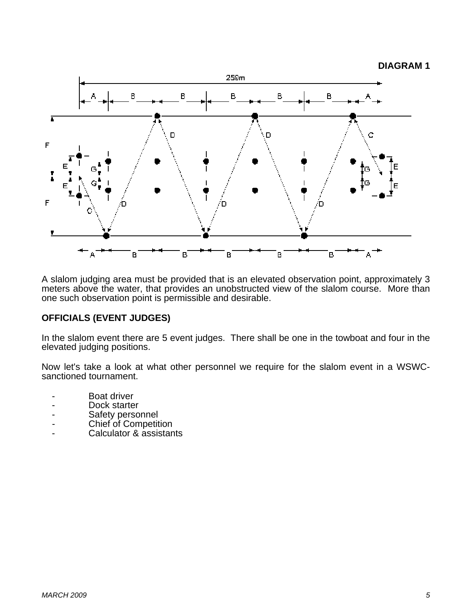#### **DIAGRAM 1**



A slalom judging area must be provided that is an elevated observation point, approximately 3 meters above the water, that provides an unobstructed view of the slalom course. More than one such observation point is permissible and desirable.

# **OFFICIALS (EVENT JUDGES)**

In the slalom event there are 5 event judges. There shall be one in the towboat and four in the elevated judging positions.

Now let's take a look at what other personnel we require for the slalom event in a WSWCsanctioned tournament.

- Boat driver
- Dock starter
- Safety personnel
- Chief of Competition
- Calculator & assistants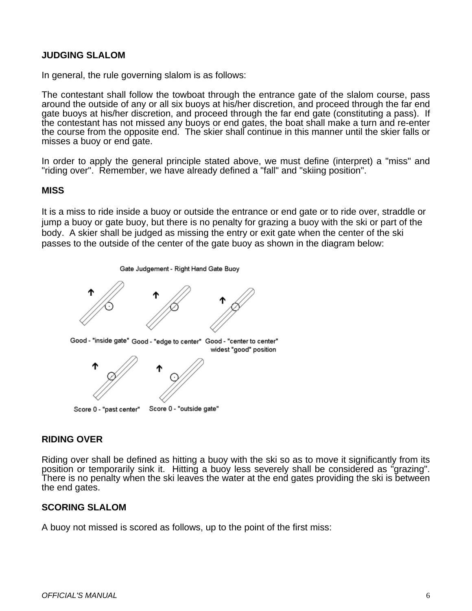# **JUDGING SLALOM**

In general, the rule governing slalom is as follows:

The contestant shall follow the towboat through the entrance gate of the slalom course, pass around the outside of any or all six buoys at his/her discretion, and proceed through the far end gate buoys at his/her discretion, and proceed through the far end gate (constituting a pass). If the contestant has not missed any buoys or end gates, the boat shall make a turn and re-enter the course from the opposite end. The skier shall continue in this manner until the skier falls or misses a buoy or end gate.

In order to apply the general principle stated above, we must define (interpret) a "miss" and "riding over". Remember, we have already defined a "fall" and "skiing position".

# **MISS**

It is a miss to ride inside a buoy or outside the entrance or end gate or to ride over, straddle or jump a buoy or gate buoy, but there is no penalty for grazing a buoy with the ski or part of the body. A skier shall be judged as missing the entry or exit gate when the center of the ski passes to the outside of the center of the gate buoy as shown in the diagram below:



#### **RIDING OVER**

Riding over shall be defined as hitting a buoy with the ski so as to move it significantly from its position or temporarily sink it. Hitting a buoy less severely shall be considered as "grazing". There is no penalty when the ski leaves the water at the end gates providing the ski is between the end gates.

#### **SCORING SLALOM**

A buoy not missed is scored as follows, up to the point of the first miss: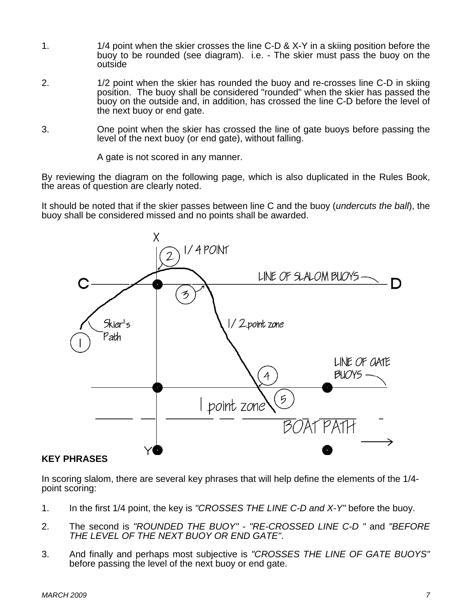- 1. 1/4 point when the skier crosses the line C-D & X-Y in a skiing position before the buoy to be rounded (see diagram). i.e. - The skier must pass the buoy on the outside
- 2. 1/2 point when the skier has rounded the buoy and re-crosses line C-D in skiing position. The buoy shall be considered "rounded" when the skier has passed the buoy on the outside and, in addition, has crossed the line C-D before the level of the next buoy or end gate.
- 3. One point when the skier has crossed the line of gate buoys before passing the level of the next buoy (or end gate), without falling.

A gate is not scored in any manner.

By reviewing the diagram on the following page, which is also duplicated in the Rules Book, the areas of question are clearly noted.

It should be noted that if the skier passes between line C and the buoy (*undercuts the ball*), the buoy shall be considered missed and no points shall be awarded.



# **KEY PHRASES**

In scoring slalom, there are several key phrases that will help define the elements of the 1/4 point scoring:

- 1. In the first 1/4 point, the key is *"CROSSES THE LINE C-D and X-Y"* before the buoy.
- 2. The second is *"ROUNDED THE BUOY" "RE-CROSSED LINE C-D "* and *"BEFORE THE LEVEL OF THE NEXT BUOY OR END GATE"*.
- 3. And finally and perhaps most subjective is *"CROSSES THE LINE OF GATE BUOYS"* before passing the level of the next buoy or end gate.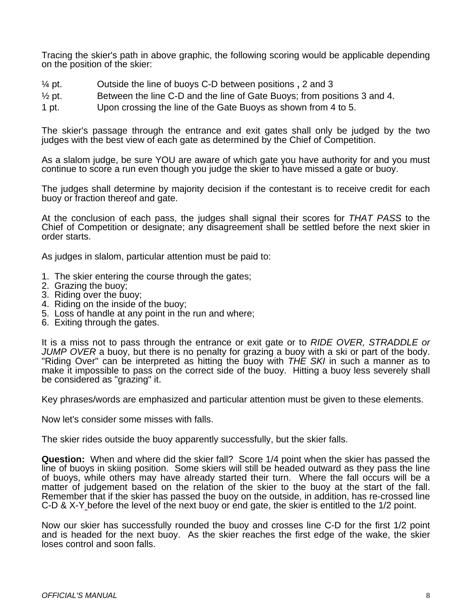Tracing the skier's path in above graphic, the following scoring would be applicable depending on the position of the skier:

- $\frac{1}{4}$  pt. Outside the line of buoys C-D between positions, 2 and 3
- $\frac{1}{2}$  pt. Between the line C-D and the line of Gate Buoys; from positions 3 and 4.
- 1 pt. Upon crossing the line of the Gate Buoys as shown from 4 to 5.

The skier's passage through the entrance and exit gates shall only be judged by the two judges with the best view of each gate as determined by the Chief of Competition.

As a slalom judge, be sure YOU are aware of which gate you have authority for and you must continue to score a run even though you judge the skier to have missed a gate or buoy.

The judges shall determine by majority decision if the contestant is to receive credit for each buoy or fraction thereof and gate.

At the conclusion of each pass, the judges shall signal their scores for *THAT PASS* to the Chief of Competition or designate; any disagreement shall be settled before the next skier in order starts.

As judges in slalom, particular attention must be paid to:

- 1. The skier entering the course through the gates;
- 2. Grazing the buoy;
- 3. Riding over the buoy;
- 4. Riding on the inside of the buoy;
- 5. Loss of handle at any point in the run and where;
- 6. Exiting through the gates.

It is a miss not to pass through the entrance or exit gate or to *RIDE OVER, STRADDLE or JUMP OVER* a buoy, but there is no penalty for grazing a buoy with a ski or part of the body. "Riding Over" can be interpreted as hitting the buoy with *THE SKI* in such a manner as to make it impossible to pass on the correct side of the buoy. Hitting a buoy less severely shall be considered as "grazing" it.

Key phrases/words are emphasized and particular attention must be given to these elements.

Now let's consider some misses with falls.

The skier rides outside the buoy apparently successfully, but the skier falls.

**Question:** When and where did the skier fall? Score 1/4 point when the skier has passed the line of buoys in skiing position. Some skiers will still be headed outward as they pass the line of buoys, while others may have already started their turn. Where the fall occurs will be a matter of judgement based on the relation of the skier to the buoy at the start of the fall. Remember that if the skier has passed the buoy on the outside, in addition, has re-crossed line C-D & X-Y before the level of the next buoy or end gate, the skier is entitled to the 1/2 point.

Now our skier has successfully rounded the buoy and crosses line C-D for the first 1/2 point and is headed for the next buoy. As the skier reaches the first edge of the wake, the skier loses control and soon falls.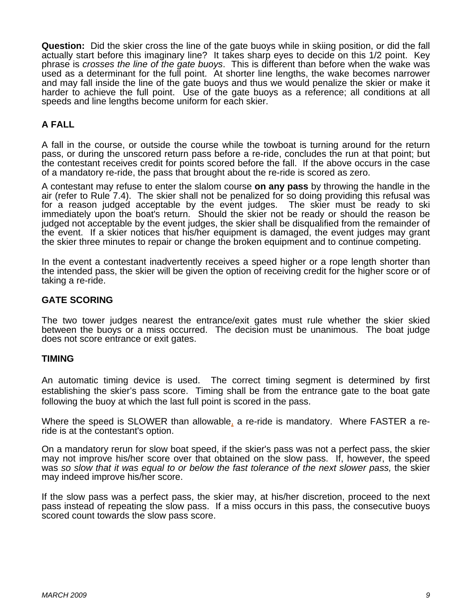**Question:** Did the skier cross the line of the gate buoys while in skiing position, or did the fall actually start before this imaginary line? It takes sharp eyes to decide on this 1/2 point. Key phrase is *crosses the line of the gate buoys*. This is different than before when the wake was used as a determinant for the full point. At shorter line lengths, the wake becomes narrower and may fall inside the line of the gate buoys and thus we would penalize the skier or make it harder to achieve the full point. Use of the gate buoys as a reference; all conditions at all speeds and line lengths become uniform for each skier.

# **A FALL**

A fall in the course, or outside the course while the towboat is turning around for the return pass, or during the unscored return pass before a re-ride, concludes the run at that point; but the contestant receives credit for points scored before the fall. If the above occurs in the case of a mandatory re-ride, the pass that brought about the re-ride is scored as zero.

A contestant may refuse to enter the slalom course **on any pass** by throwing the handle in the air (refer to Rule 7.4). The skier shall not be penalized for so doing providing this refusal was for a reason judged acceptable by the event judges. The skier must be ready to ski immediately upon the boat's return. Should the skier not be ready or should the reason be judged not acceptable by the event judges, the skier shall be disqualified from the remainder of the event. If a skier notices that his/her equipment is damaged, the event judges may grant the skier three minutes to repair or change the broken equipment and to continue competing.

In the event a contestant inadvertently receives a speed higher or a rope length shorter than the intended pass, the skier will be given the option of receiving credit for the higher score or of taking a re-ride.

# **GATE SCORING**

The two tower judges nearest the entrance/exit gates must rule whether the skier skied between the buoys or a miss occurred. The decision must be unanimous. The boat judge does not score entrance or exit gates.

#### **TIMING**

An automatic timing device is used. The correct timing segment is determined by first establishing the skier's pass score. Timing shall be from the entrance gate to the boat gate following the buoy at which the last full point is scored in the pass.

Where the speed is SLOWER than allowable, a re-ride is mandatory. Where FASTER a reride is at the contestant's option.

On a mandatory rerun for slow boat speed, if the skier's pass was not a perfect pass, the skier may not improve his/her score over that obtained on the slow pass. If, however, the speed was *so slow that it was equal to or below the fast tolerance of the next slower pass,* the skier may indeed improve his/her score.

If the slow pass was a perfect pass, the skier may, at his/her discretion, proceed to the next pass instead of repeating the slow pass. If a miss occurs in this pass, the consecutive buoys scored count towards the slow pass score.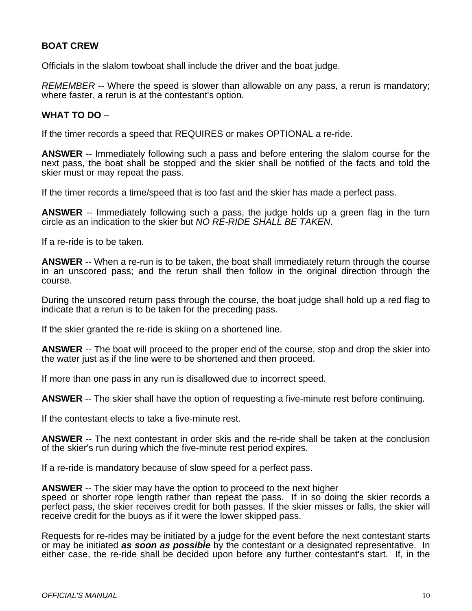# **BOAT CREW**

Officials in the slalom towboat shall include the driver and the boat judge.

*REMEMBER* -- Where the speed is slower than allowable on any pass, a rerun is mandatory; where faster, a rerun is at the contestant's option.

#### **WHAT TO DO** –

If the timer records a speed that REQUIRES or makes OPTIONAL a re-ride.

**ANSWER** -- Immediately following such a pass and before entering the slalom course for the next pass, the boat shall be stopped and the skier shall be notified of the facts and told the skier must or may repeat the pass.

If the timer records a time/speed that is too fast and the skier has made a perfect pass.

**ANSWER** -- Immediately following such a pass, the judge holds up a green flag in the turn circle as an indication to the skier but *NO RE-RIDE SHALL BE TAKEN*.

If a re-ride is to be taken.

**ANSWER** -- When a re-run is to be taken, the boat shall immediately return through the course in an unscored pass; and the rerun shall then follow in the original direction through the course.

During the unscored return pass through the course, the boat judge shall hold up a red flag to indicate that a rerun is to be taken for the preceding pass.

If the skier granted the re-ride is skiing on a shortened line.

**ANSWER** -- The boat will proceed to the proper end of the course, stop and drop the skier into the water just as if the line were to be shortened and then proceed.

If more than one pass in any run is disallowed due to incorrect speed.

**ANSWER** -- The skier shall have the option of requesting a five-minute rest before continuing.

If the contestant elects to take a five-minute rest.

**ANSWER** -- The next contestant in order skis and the re-ride shall be taken at the conclusion of the skier's run during which the five-minute rest period expires.

If a re-ride is mandatory because of slow speed for a perfect pass.

**ANSWER** -- The skier may have the option to proceed to the next higher speed or shorter rope length rather than repeat the pass. If in so doing the skier records a perfect pass, the skier receives credit for both passes. If the skier misses or falls, the skier will receive credit for the buoys as if it were the lower skipped pass.

Requests for re-rides may be initiated by a judge for the event before the next contestant starts or may be initiated *as soon as possible* by the contestant or a designated representative. In either case, the re-ride shall be decided upon before any further contestant's start. If, in the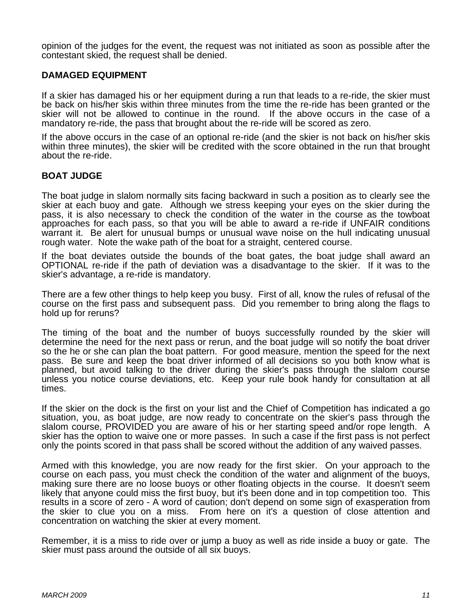opinion of the judges for the event, the request was not initiated as soon as possible after the contestant skied, the request shall be denied.

#### **DAMAGED EQUIPMENT**

If a skier has damaged his or her equipment during a run that leads to a re-ride, the skier must be back on his/her skis within three minutes from the time the re-ride has been granted or the skier will not be allowed to continue in the round. If the above occurs in the case of a mandatory re-ride, the pass that brought about the re-ride will be scored as zero.

If the above occurs in the case of an optional re-ride (and the skier is not back on his/her skis within three minutes), the skier will be credited with the score obtained in the run that brought about the re-ride.

#### **BOAT JUDGE**

The boat judge in slalom normally sits facing backward in such a position as to clearly see the skier at each buoy and gate. Although we stress keeping your eyes on the skier during the pass, it is also necessary to check the condition of the water in the course as the towboat approaches for each pass, so that you will be able to award a re-ride if UNFAIR conditions warrant it. Be alert for unusual bumps or unusual wave noise on the hull indicating unusual rough water. Note the wake path of the boat for a straight, centered course.

If the boat deviates outside the bounds of the boat gates, the boat judge shall award an OPTIONAL re-ride if the path of deviation was a disadvantage to the skier. If it was to the skier's advantage, a re-ride is mandatory.

There are a few other things to help keep you busy. First of all, know the rules of refusal of the course on the first pass and subsequent pass. Did you remember to bring along the flags to hold up for reruns?

The timing of the boat and the number of buoys successfully rounded by the skier will determine the need for the next pass or rerun, and the boat judge will so notify the boat driver so the he or she can plan the boat pattern. For good measure, mention the speed for the next pass. Be sure and keep the boat driver informed of all decisions so you both know what is planned, but avoid talking to the driver during the skier's pass through the slalom course unless you notice course deviations, etc. Keep your rule book handy for consultation at all times.

If the skier on the dock is the first on your list and the Chief of Competition has indicated a go situation, you, as boat judge, are now ready to concentrate on the skier's pass through the slalom course, PROVIDED you are aware of his or her starting speed and/or rope length. A skier has the option to waive one or more passes. In such a case if the first pass is not perfect only the points scored in that pass shall be scored without the addition of any waived passes.

Armed with this knowledge, you are now ready for the first skier. On your approach to the course on each pass, you must check the condition of the water and alignment of the buoys, making sure there are no loose buoys or other floating objects in the course. It doesn't seem likely that anyone could miss the first buoy, but it's been done and in top competition too. This results in a score of zero - A word of caution; don't depend on some sign of exasperation from the skier to clue you on a miss. From here on it's a question of close attention and concentration on watching the skier at every moment.

Remember, it is a miss to ride over or jump a buoy as well as ride inside a buoy or gate. The skier must pass around the outside of all six buoys.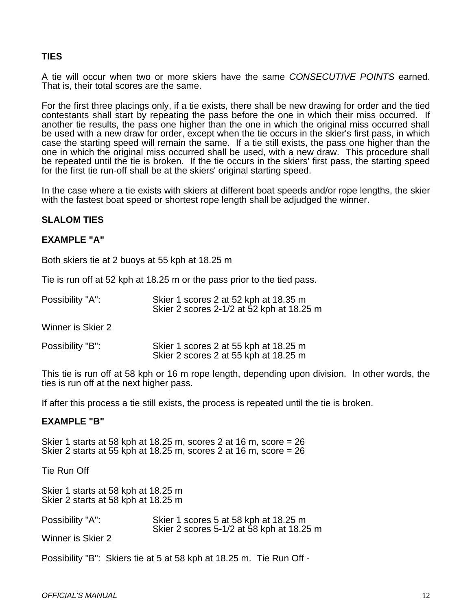# **TIES**

A tie will occur when two or more skiers have the same *CONSECUTIVE POINTS* earned. That is, their total scores are the same.

For the first three placings only, if a tie exists, there shall be new drawing for order and the tied contestants shall start by repeating the pass before the one in which their miss occurred. If another tie results, the pass one higher than the one in which the original miss occurred shall be used with a new draw for order, except when the tie occurs in the skier's first pass, in which case the starting speed will remain the same. If a tie still exists, the pass one higher than the one in which the original miss occurred shall be used, with a new draw. This procedure shall be repeated until the tie is broken. If the tie occurs in the skiers' first pass, the starting speed for the first tie run-off shall be at the skiers' original starting speed.

In the case where a tie exists with skiers at different boat speeds and/or rope lengths, the skier with the fastest boat speed or shortest rope length shall be adjudged the winner.

#### **SLALOM TIES**

#### **EXAMPLE "A"**

Both skiers tie at 2 buoys at 55 kph at 18.25 m

Tie is run off at 52 kph at 18.25 m or the pass prior to the tied pass.

| Possibility "A":<br>Skier 1 scores 2 at 52 kph at 18.35 m<br>Skier 2 scores 2-1/2 at 52 kph at 18.25 m |
|--------------------------------------------------------------------------------------------------------|
|--------------------------------------------------------------------------------------------------------|

Winner is Skier 2

| Possibility "B": | Skier 1 scores 2 at 55 kph at 18.25 m |
|------------------|---------------------------------------|
|                  | Skier 2 scores 2 at 55 kph at 18.25 m |

This tie is run off at 58 kph or 16 m rope length, depending upon division. In other words, the ties is run off at the next higher pass.

If after this process a tie still exists, the process is repeated until the tie is broken.

#### **EXAMPLE "B"**

Skier 1 starts at 58 kph at 18.25 m, scores 2 at 16 m, score = 26 Skier 2 starts at 55 kph at 18.25 m, scores 2 at 16 m, score = 26

Tie Run Off

Skier 1 starts at 58 kph at 18.25 m Skier 2 starts at 58 kph at 18.25 m

| Possibility "A": | Skier 1 scores 5 at 58 kph at 18.25 m     |
|------------------|-------------------------------------------|
|                  | Skier 2 scores 5-1/2 at 58 kph at 18.25 m |

Winner is Skier 2

Possibility "B": Skiers tie at 5 at 58 kph at 18.25 m. Tie Run Off -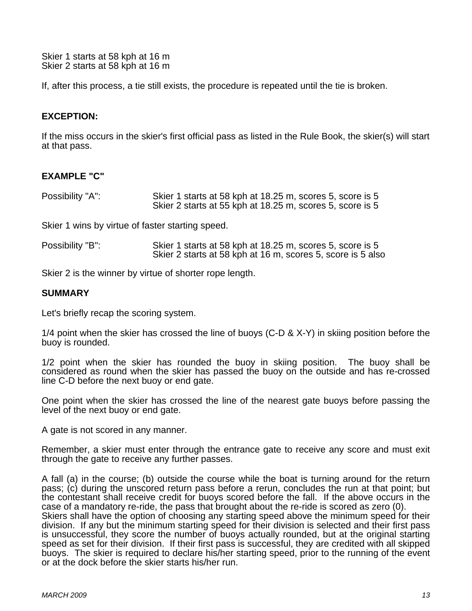Skier 1 starts at 58 kph at 16 m Skier 2 starts at 58 kph at 16 m

If, after this process, a tie still exists, the procedure is repeated until the tie is broken.

# **EXCEPTION:**

If the miss occurs in the skier's first official pass as listed in the Rule Book, the skier(s) will start at that pass.

# **EXAMPLE "C"**

| Possibility "A": | Skier 1 starts at 58 kph at 18.25 m, scores 5, score is 5 |
|------------------|-----------------------------------------------------------|
|                  | Skier 2 starts at 55 kph at 18.25 m, scores 5, score is 5 |

Skier 1 wins by virtue of faster starting speed.

| Possibility "B": | Skier 1 starts at 58 kph at 18.25 m, scores 5, score is 5   |
|------------------|-------------------------------------------------------------|
|                  | Skier 2 starts at 58 kph at 16 m, scores 5, score is 5 also |

Skier 2 is the winner by virtue of shorter rope length.

#### **SUMMARY**

Let's briefly recap the scoring system.

1/4 point when the skier has crossed the line of buoys (C-D & X-Y) in skiing position before the buoy is rounded.

1/2 point when the skier has rounded the buoy in skiing position. The buoy shall be considered as round when the skier has passed the buoy on the outside and has re-crossed line C-D before the next buoy or end gate.

One point when the skier has crossed the line of the nearest gate buoys before passing the level of the next buoy or end gate.

A gate is not scored in any manner.

Remember, a skier must enter through the entrance gate to receive any score and must exit through the gate to receive any further passes.

A fall (a) in the course; (b) outside the course while the boat is turning around for the return pass; (c) during the unscored return pass before a rerun, concludes the run at that point; but the contestant shall receive credit for buoys scored before the fall. If the above occurs in the case of a mandatory re-ride, the pass that brought about the re-ride is scored as zero (0). Skiers shall have the option of choosing any starting speed above the minimum speed for their

division. If any but the minimum starting speed for their division is selected and their first pass is unsuccessful, they score the number of buoys actually rounded, but at the original starting speed as set for their division. If their first pass is successful, they are credited with all skipped buoys. The skier is required to declare his/her starting speed, prior to the running of the event or at the dock before the skier starts his/her run.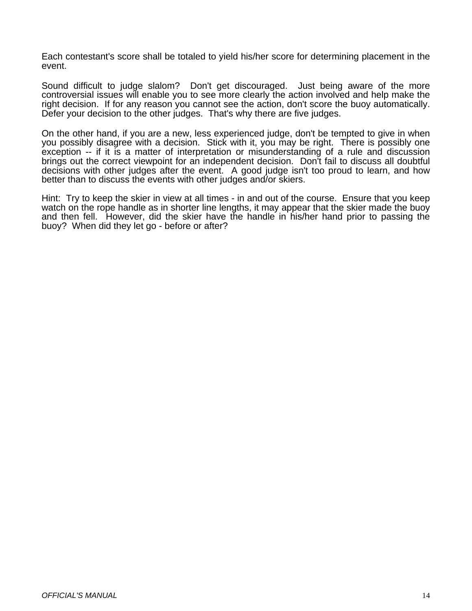Each contestant's score shall be totaled to yield his/her score for determining placement in the event.

Sound difficult to judge slalom? Don't get discouraged. Just being aware of the more controversial issues will enable you to see more clearly the action involved and help make the right decision. If for any reason you cannot see the action, don't score the buoy automatically. Defer your decision to the other judges. That's why there are five judges.

On the other hand, if you are a new, less experienced judge, don't be tempted to give in when you possibly disagree with a decision. Stick with it, you may be right. There is possibly one exception -- if it is a matter of interpretation or misunderstanding of a rule and discussion brings out the correct viewpoint for an independent decision. Don't fail to discuss all doubtful decisions with other judges after the event. A good judge isn't too proud to learn, and how better than to discuss the events with other judges and/or skiers.

Hint: Try to keep the skier in view at all times - in and out of the course. Ensure that you keep watch on the rope handle as in shorter line lengths, it may appear that the skier made the buoy and then fell. However, did the skier have the handle in his/her hand prior to passing the buoy? When did they let go - before or after?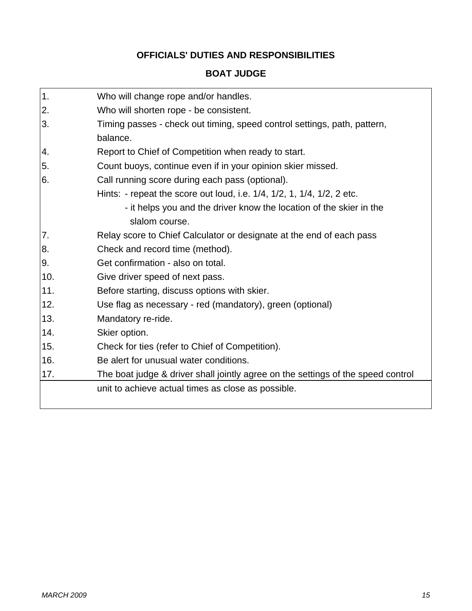# **OFFICIALS' DUTIES AND RESPONSIBILITIES**

# **BOAT JUDGE**

| 1.  | Who will change rope and/or handles.                                             |
|-----|----------------------------------------------------------------------------------|
| 2.  | Who will shorten rope - be consistent.                                           |
| 3.  | Timing passes - check out timing, speed control settings, path, pattern,         |
|     | balance.                                                                         |
| 4.  | Report to Chief of Competition when ready to start.                              |
| 5.  | Count buoys, continue even if in your opinion skier missed.                      |
| 6.  | Call running score during each pass (optional).                                  |
|     | Hints: - repeat the score out loud, i.e. 1/4, 1/2, 1, 1/4, 1/2, 2 etc.           |
|     | - it helps you and the driver know the location of the skier in the              |
|     | slalom course.                                                                   |
| 7.  | Relay score to Chief Calculator or designate at the end of each pass             |
| 8.  | Check and record time (method).                                                  |
| 9.  | Get confirmation - also on total.                                                |
| 10. | Give driver speed of next pass.                                                  |
| 11. | Before starting, discuss options with skier.                                     |
| 12. | Use flag as necessary - red (mandatory), green (optional)                        |
| 13. | Mandatory re-ride.                                                               |
| 14. | Skier option.                                                                    |
| 15. | Check for ties (refer to Chief of Competition).                                  |
| 16. | Be alert for unusual water conditions.                                           |
| 17. | The boat judge & driver shall jointly agree on the settings of the speed control |
|     | unit to achieve actual times as close as possible.                               |
|     |                                                                                  |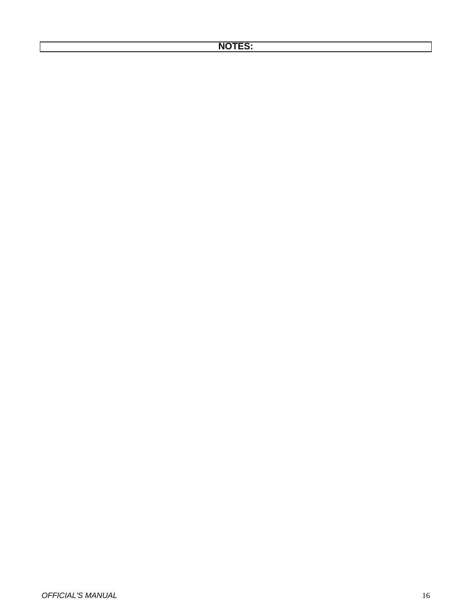# **NOTES:**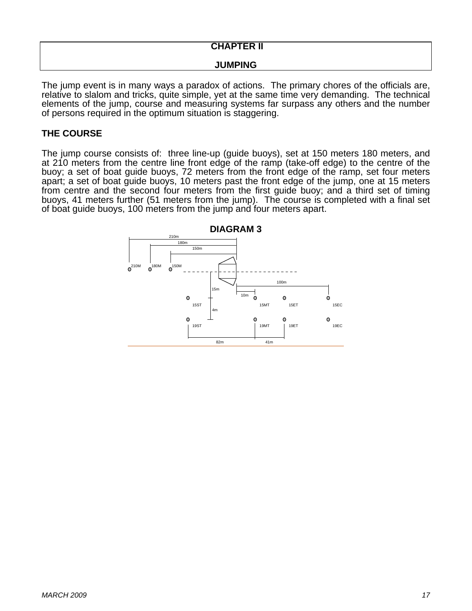# **CHAPTER II**

#### **JUMPING**

The jump event is in many ways a paradox of actions. The primary chores of the officials are, relative to slalom and tricks, quite simple, yet at the same time very demanding. The technical elements of the jump, course and measuring systems far surpass any others and the number of persons required in the optimum situation is staggering.

# **THE COURSE**

The jump course consists of: three line-up (guide buoys), set at 150 meters 180 meters, and at 210 meters from the centre line front edge of the ramp (take-off edge) to the centre of the buoy; a set of boat guide buoys, 72 meters from the front edge of the ramp, set four meters apart; a set of boat guide buoys, 10 meters past the front edge of the jump, one at 15 meters from centre and the second four meters from the first guide buoy; and a third set of timing buoys, 41 meters further (51 meters from the jump). The course is completed with a final set of boat guide buoys, 100 meters from the jump and four meters apart.

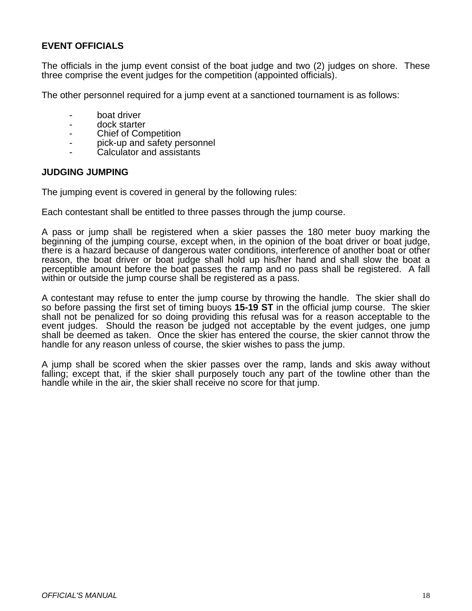# **EVENT OFFICIALS**

The officials in the jump event consist of the boat judge and two (2) judges on shore. These three comprise the event judges for the competition (appointed officials).

The other personnel required for a jump event at a sanctioned tournament is as follows:

- boat driver
- dock starter
- Chief of Competition
- pick-up and safety personnel
- Calculator and assistants

#### **JUDGING JUMPING**

The jumping event is covered in general by the following rules:

Each contestant shall be entitled to three passes through the jump course.

A pass or jump shall be registered when a skier passes the 180 meter buoy marking the beginning of the jumping course, except when, in the opinion of the boat driver or boat judge, there is a hazard because of dangerous water conditions, interference of another boat or other reason, the boat driver or boat judge shall hold up his/her hand and shall slow the boat a perceptible amount before the boat passes the ramp and no pass shall be registered. A fall within or outside the jump course shall be registered as a pass.

A contestant may refuse to enter the jump course by throwing the handle. The skier shall do so before passing the first set of timing buoys **15-19 ST** in the official jump course. The skier shall not be penalized for so doing providing this refusal was for a reason acceptable to the event judges. Should the reason be judged not acceptable by the event judges, one jump shall be deemed as taken. Once the skier has entered the course, the skier cannot throw the handle for any reason unless of course, the skier wishes to pass the jump.

A jump shall be scored when the skier passes over the ramp, lands and skis away without falling; except that, if the skier shall purposely touch any part of the towline other than the handle while in the air, the skier shall receive no score for that jump.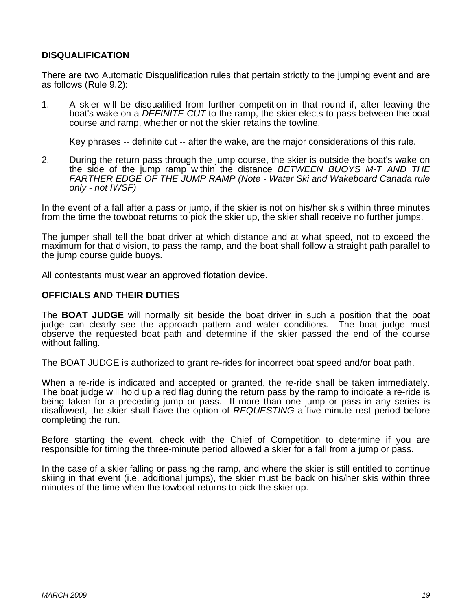# **DISQUALIFICATION**

There are two Automatic Disqualification rules that pertain strictly to the jumping event and are as follows (Rule 9.2):

1. A skier will be disqualified from further competition in that round if, after leaving the boat's wake on a *DEFINITE CUT* to the ramp, the skier elects to pass between the boat course and ramp, whether or not the skier retains the towline.

Key phrases -- definite cut -- after the wake, are the major considerations of this rule.

2. During the return pass through the jump course, the skier is outside the boat's wake on the side of the jump ramp within the distance *BETWEEN BUOYS M-T AND THE FARTHER EDGE OF THE JUMP RAMP (Note - Water Ski and Wakeboard Canada rule only - not IWSF)* 

In the event of a fall after a pass or jump, if the skier is not on his/her skis within three minutes from the time the towboat returns to pick the skier up, the skier shall receive no further jumps.

The jumper shall tell the boat driver at which distance and at what speed, not to exceed the maximum for that division, to pass the ramp, and the boat shall follow a straight path parallel to the jump course guide buoys.

All contestants must wear an approved flotation device.

#### **OFFICIALS AND THEIR DUTIES**

The **BOAT JUDGE** will normally sit beside the boat driver in such a position that the boat judge can clearly see the approach pattern and water conditions. The boat judge must observe the requested boat path and determine if the skier passed the end of the course without falling.

The BOAT JUDGE is authorized to grant re-rides for incorrect boat speed and/or boat path.

When a re-ride is indicated and accepted or granted, the re-ride shall be taken immediately. The boat judge will hold up a red flag during the return pass by the ramp to indicate a re-ride is being taken for a preceding jump or pass. If more than one jump or pass in any series is disallowed, the skier shall have the option of *REQUESTING* a five-minute rest period before completing the run.

Before starting the event, check with the Chief of Competition to determine if you are responsible for timing the three-minute period allowed a skier for a fall from a jump or pass.

In the case of a skier falling or passing the ramp, and where the skier is still entitled to continue skiing in that event (i.e. additional jumps), the skier must be back on his/her skis within three minutes of the time when the towboat returns to pick the skier up.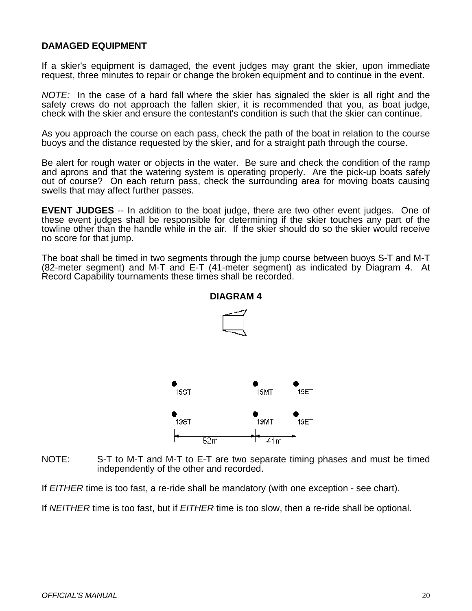# **DAMAGED EQUIPMENT**

If a skier's equipment is damaged, the event judges may grant the skier, upon immediate request, three minutes to repair or change the broken equipment and to continue in the event.

*NOTE:* In the case of a hard fall where the skier has signaled the skier is all right and the safety crews do not approach the fallen skier, it is recommended that you, as boat judge, check with the skier and ensure the contestant's condition is such that the skier can continue.

As you approach the course on each pass, check the path of the boat in relation to the course buoys and the distance requested by the skier, and for a straight path through the course.

Be alert for rough water or objects in the water. Be sure and check the condition of the ramp and aprons and that the watering system is operating properly. Are the pick-up boats safely out of course? On each return pass, check the surrounding area for moving boats causing swells that may affect further passes.

**EVENT JUDGES** -- In addition to the boat judge, there are two other event judges. One of these event judges shall be responsible for determining if the skier touches any part of the towline other than the handle while in the air. If the skier should do so the skier would receive no score for that jump.

The boat shall be timed in two segments through the jump course between buoys S-T and M-T (82-meter segment) and M-T and E-T (41-meter segment) as indicated by Diagram 4. At Record Capability tournaments these times shall be recorded.



# **DIAGRAM 4**

NOTE: S-T to M-T and M-T to E-T are two separate timing phases and must be timed independently of the other and recorded.

If *EITHER* time is too fast, a re-ride shall be mandatory (with one exception - see chart).

If *NEITHER* time is too fast, but if *EITHER* time is too slow, then a re-ride shall be optional.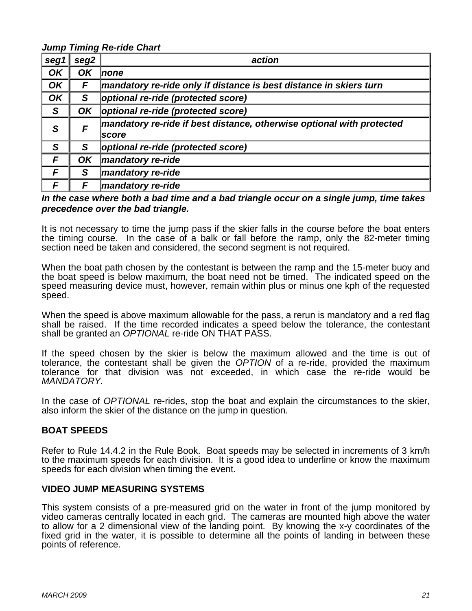*Jump Timing Re-ride Chart* 

| seg1 | ັ<br>seg2 | action                                                                         |
|------|-----------|--------------------------------------------------------------------------------|
| OK   | OK        | Inone                                                                          |
| OK   | F         | mandatory re-ride only if distance is best distance in skiers turn             |
| OK   | S         | optional re-ride (protected score)                                             |
| S    | OK        | optional re-ride (protected score)                                             |
| S    | F         | mandatory re-ride if best distance, otherwise optional with protected<br>score |
| S    | S         | optional re-ride (protected score)                                             |
| F    | OK        | mandatory re-ride                                                              |
| F    | S         | mandatory re-ride                                                              |
| F    | F         | mandatory re-ride                                                              |

#### *In the case where both a bad time and a bad triangle occur on a single jump, time takes precedence over the bad triangle.*

It is not necessary to time the jump pass if the skier falls in the course before the boat enters the timing course. In the case of a balk or fall before the ramp, only the 82-meter timing section need be taken and considered, the second segment is not required.

When the boat path chosen by the contestant is between the ramp and the 15-meter buoy and the boat speed is below maximum, the boat need not be timed. The indicated speed on the speed measuring device must, however, remain within plus or minus one kph of the requested speed.

When the speed is above maximum allowable for the pass, a rerun is mandatory and a red flag shall be raised. If the time recorded indicates a speed below the tolerance, the contestant shall be granted an *OPTIONAL* re-ride ON THAT PASS.

If the speed chosen by the skier is below the maximum allowed and the time is out of tolerance, the contestant shall be given the *OPTION* of a re-ride, provided the maximum tolerance for that division was not exceeded, in which case the re-ride would be *MANDATORY.* 

In the case of *OPTIONAL* re-rides, stop the boat and explain the circumstances to the skier, also inform the skier of the distance on the jump in question.

# **BOAT SPEEDS**

Refer to Rule 14.4.2 in the Rule Book. Boat speeds may be selected in increments of 3 km/h to the maximum speeds for each division. It is a good idea to underline or know the maximum speeds for each division when timing the event.

#### **VIDEO JUMP MEASURING SYSTEMS**

This system consists of a pre-measured grid on the water in front of the jump monitored by video cameras centrally located in each grid. The cameras are mounted high above the water to allow for a 2 dimensional view of the landing point. By knowing the x-y coordinates of the fixed grid in the water, it is possible to determine all the points of landing in between these points of reference.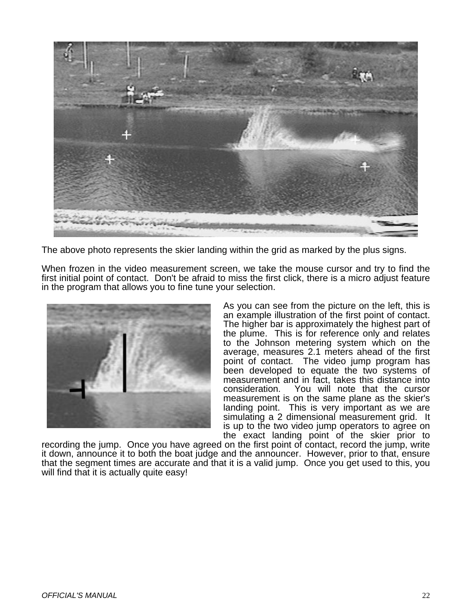

The above photo represents the skier landing within the grid as marked by the plus signs.

When frozen in the video measurement screen, we take the mouse cursor and try to find the first initial point of contact. Don't be afraid to miss the first click, there is a micro adjust feature in the program that allows you to fine tune your selection.



As you can see from the picture on the left, this is an example illustration of the first point of contact. The higher bar is approximately the highest part of the plume. This is for reference only and relates to the Johnson metering system which on the average, measures 2.1 meters ahead of the first point of contact. The video jump program has been developed to equate the two systems of measurement and in fact, takes this distance into consideration. You will note that the cursor measurement is on the same plane as the skier's landing point. This is very important as we are simulating a 2 dimensional measurement grid. It is up to the two video jump operators to agree on the exact landing point of the skier prior to

recording the jump. Once you have agreed on the first point of contact, record the jump, write it down, announce it to both the boat judge and the announcer. However, prior to that, ensure that the segment times are accurate and that it is a valid jump. Once you get used to this, you will find that it is actually quite easy!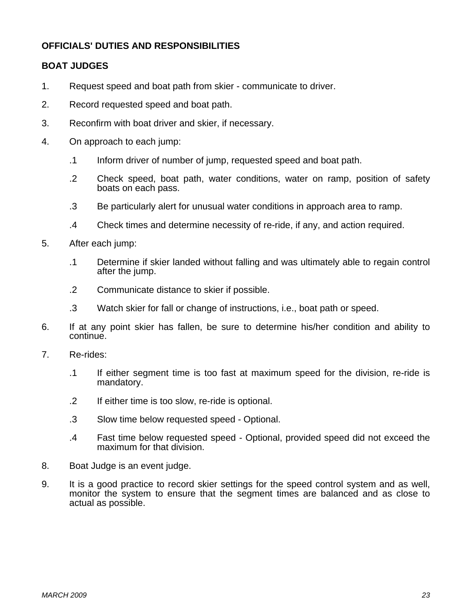# **OFFICIALS' DUTIES AND RESPONSIBILITIES**

# **BOAT JUDGES**

- 1. Request speed and boat path from skier communicate to driver.
- 2. Record requested speed and boat path.
- 3. Reconfirm with boat driver and skier, if necessary.
- 4. On approach to each jump:
	- .1 Inform driver of number of jump, requested speed and boat path.
	- .2 Check speed, boat path, water conditions, water on ramp, position of safety boats on each pass.
	- .3 Be particularly alert for unusual water conditions in approach area to ramp.
	- .4 Check times and determine necessity of re-ride, if any, and action required.
- 5. After each jump:
	- .1 Determine if skier landed without falling and was ultimately able to regain control after the jump.
	- .2 Communicate distance to skier if possible.
	- .3 Watch skier for fall or change of instructions, i.e., boat path or speed.
- 6. If at any point skier has fallen, be sure to determine his/her condition and ability to continue.
- 7. Re-rides:
	- .1 If either segment time is too fast at maximum speed for the division, re-ride is mandatory.
	- .2 If either time is too slow, re-ride is optional.
	- .3 Slow time below requested speed Optional.
	- .4 Fast time below requested speed Optional, provided speed did not exceed the maximum for that division.
- 8. Boat Judge is an event judge.
- 9. It is a good practice to record skier settings for the speed control system and as well, monitor the system to ensure that the segment times are balanced and as close to actual as possible.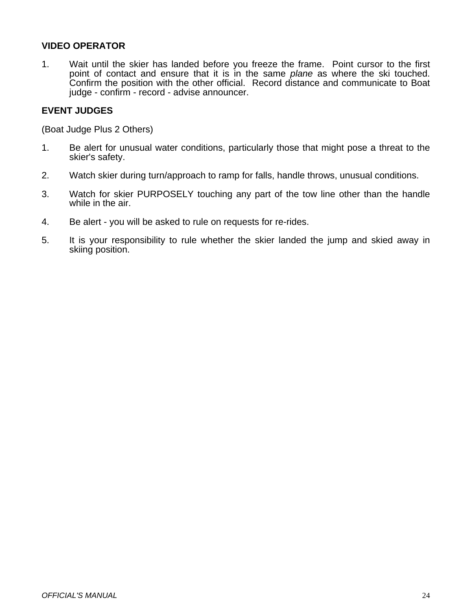# **VIDEO OPERATOR**

1. Wait until the skier has landed before you freeze the frame. Point cursor to the first point of contact and ensure that it is in the same *plane* as where the ski touched. Confirm the position with the other official. Record distance and communicate to Boat judge - confirm - record - advise announcer.

# **EVENT JUDGES**

(Boat Judge Plus 2 Others)

- 1. Be alert for unusual water conditions, particularly those that might pose a threat to the skier's safety.
- 2. Watch skier during turn/approach to ramp for falls, handle throws, unusual conditions.
- 3. Watch for skier PURPOSELY touching any part of the tow line other than the handle while in the air.
- 4. Be alert you will be asked to rule on requests for re-rides.
- 5. It is your responsibility to rule whether the skier landed the jump and skied away in skiing position.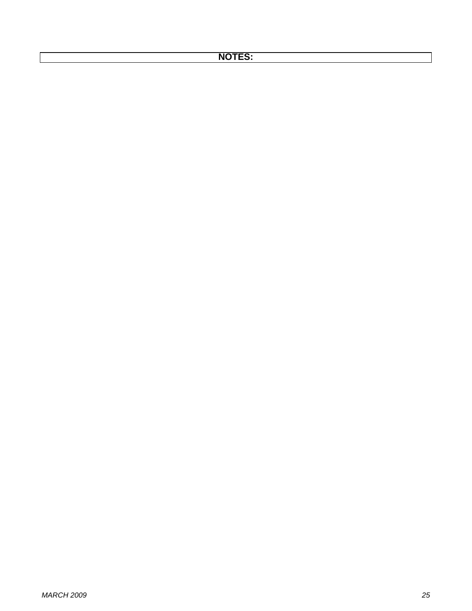# **NOTES:**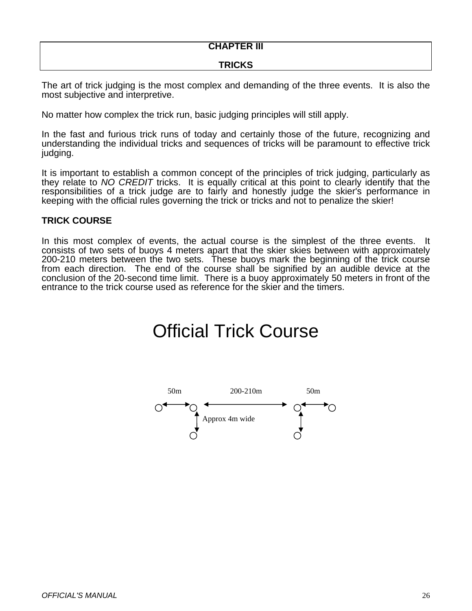# **CHAPTER III**

# **TRICKS**

The art of trick judging is the most complex and demanding of the three events. It is also the most subjective and interpretive.

No matter how complex the trick run, basic judging principles will still apply.

In the fast and furious trick runs of today and certainly those of the future, recognizing and understanding the individual tricks and sequences of tricks will be paramount to effective trick judging.

It is important to establish a common concept of the principles of trick judging, particularly as they relate to *NO CREDIT* tricks. It is equally critical at this point to clearly identify that the responsibilities of a trick judge are to fairly and honestly judge the skier's performance in keeping with the official rules governing the trick or tricks and not to penalize the skier!

# **TRICK COURSE**

In this most complex of events, the actual course is the simplest of the three events. It consists of two sets of buoys 4 meters apart that the skier skies between with approximately 200-210 meters between the two sets. These buoys mark the beginning of the trick course from each direction. The end of the course shall be signified by an audible device at the conclusion of the 20-second time limit. There is a buoy approximately 50 meters in front of the entrance to the trick course used as reference for the skier and the timers.

# Official Trick Course

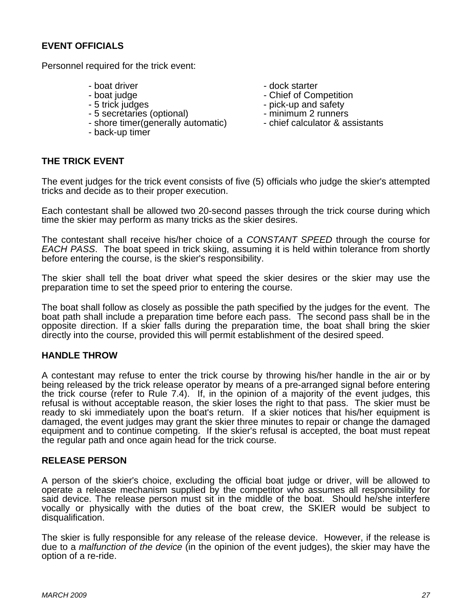# **EVENT OFFICIALS**

Personnel required for the trick event:

- 
- 
- 
- 
- 5 secretaries (optional)<br>
 shore timer(generally automatic) chief calculator & assistants - shore timer(generally automatic)
- back-up timer
- boat driver<br>
 boat iudge<br>
 boat iudge
- boat judge<br>
 5 trick judges<br>
 5 trick judges<br>
 pick-up and safety
	- pick-up and safety<br>- minimum 2 runners
	-
	-

# **THE TRICK EVENT**

The event judges for the trick event consists of five (5) officials who judge the skier's attempted tricks and decide as to their proper execution.

Each contestant shall be allowed two 20-second passes through the trick course during which time the skier may perform as many tricks as the skier desires.

The contestant shall receive his/her choice of a *CONSTANT SPEED* through the course for *EACH PASS*. The boat speed in trick skiing, assuming it is held within tolerance from shortly before entering the course, is the skier's responsibility.

The skier shall tell the boat driver what speed the skier desires or the skier may use the preparation time to set the speed prior to entering the course.

The boat shall follow as closely as possible the path specified by the judges for the event. The boat path shall include a preparation time before each pass. The second pass shall be in the opposite direction. If a skier falls during the preparation time, the boat shall bring the skier directly into the course, provided this will permit establishment of the desired speed.

# **HANDLE THROW**

A contestant may refuse to enter the trick course by throwing his/her handle in the air or by being released by the trick release operator by means of a pre-arranged signal before entering the trick course (refer to Rule 7.4). If, in the opinion of a majority of the event judges, this refusal is without acceptable reason, the skier loses the right to that pass. The skier must be ready to ski immediately upon the boat's return. If a skier notices that his/her equipment is damaged, the event judges may grant the skier three minutes to repair or change the damaged equipment and to continue competing. If the skier's refusal is accepted, the boat must repeat the regular path and once again head for the trick course.

#### **RELEASE PERSON**

A person of the skier's choice, excluding the official boat judge or driver, will be allowed to operate a release mechanism supplied by the competitor who assumes all responsibility for said device. The release person must sit in the middle of the boat. Should he/she interfere vocally or physically with the duties of the boat crew, the SKIER would be subject to disqualification.

The skier is fully responsible for any release of the release device. However, if the release is due to a *malfunction of the device* (in the opinion of the event judges), the skier may have the option of a re-ride.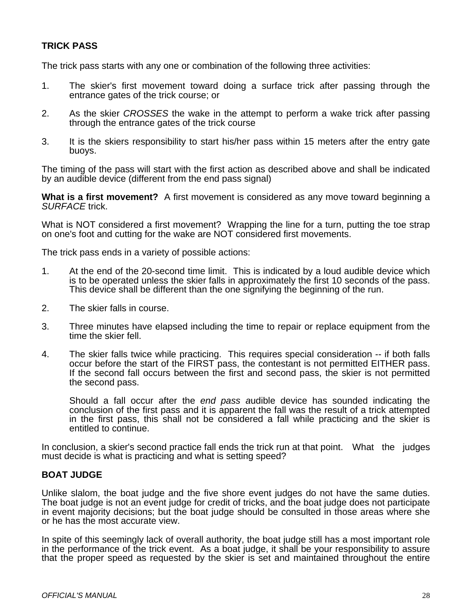# **TRICK PASS**

The trick pass starts with any one or combination of the following three activities:

- 1. The skier's first movement toward doing a surface trick after passing through the entrance gates of the trick course; or
- 2. As the skier *CROSSES* the wake in the attempt to perform a wake trick after passing through the entrance gates of the trick course
- 3. It is the skiers responsibility to start his/her pass within 15 meters after the entry gate buoys.

The timing of the pass will start with the first action as described above and shall be indicated by an audible device (different from the end pass signal)

**What is a first movement?** A first movement is considered as any move toward beginning a *SURFACE* trick.

What is NOT considered a first movement? Wrapping the line for a turn, putting the toe strap on one's foot and cutting for the wake are NOT considered first movements.

The trick pass ends in a variety of possible actions:

- 1. At the end of the 20-second time limit. This is indicated by a loud audible device which is to be operated unless the skier falls in approximately the first 10 seconds of the pass. This device shall be different than the one signifying the beginning of the run.
- 2. The skier falls in course.
- 3. Three minutes have elapsed including the time to repair or replace equipment from the time the skier fell.
- 4. The skier falls twice while practicing. This requires special consideration -- if both falls occur before the start of the FIRST pass, the contestant is not permitted EITHER pass. If the second fall occurs between the first and second pass, the skier is not permitted the second pass.

 Should a fall occur after the *end pass a*udible device has sounded indicating the conclusion of the first pass and it is apparent the fall was the result of a trick attempted in the first pass, this shall not be considered a fall while practicing and the skier is entitled to continue.

In conclusion, a skier's second practice fall ends the trick run at that point. What the judges must decide is what is practicing and what is setting speed?

# **BOAT JUDGE**

Unlike slalom, the boat judge and the five shore event judges do not have the same duties. The boat judge is not an event judge for credit of tricks, and the boat judge does not participate in event majority decisions; but the boat judge should be consulted in those areas where she or he has the most accurate view.

In spite of this seemingly lack of overall authority, the boat judge still has a most important role in the performance of the trick event. As a boat judge, it shall be your responsibility to assure that the proper speed as requested by the skier is set and maintained throughout the entire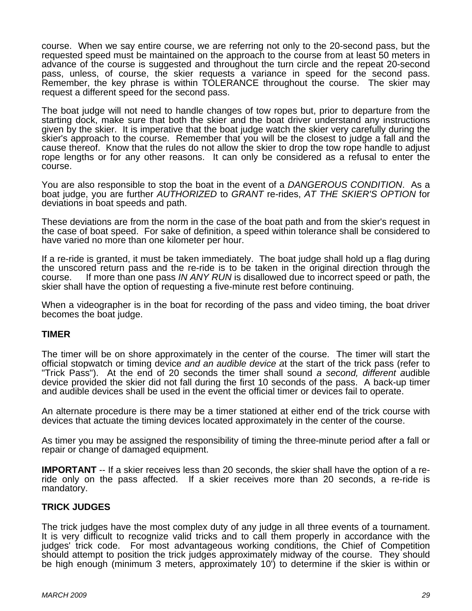course. When we say entire course, we are referring not only to the 20-second pass, but the requested speed must be maintained on the approach to the course from at least 50 meters in advance of the course is suggested and throughout the turn circle and the repeat 20-second pass, unless, of course, the skier requests a variance in speed for the second pass. Remember, the key phrase is within TOLERANCE throughout the course. The skier may request a different speed for the second pass.

The boat judge will not need to handle changes of tow ropes but, prior to departure from the starting dock, make sure that both the skier and the boat driver understand any instructions given by the skier. It is imperative that the boat judge watch the skier very carefully during the skier's approach to the course. Remember that you will be the closest to judge a fall and the cause thereof. Know that the rules do not allow the skier to drop the tow rope handle to adjust rope lengths or for any other reasons. It can only be considered as a refusal to enter the course.

You are also responsible to stop the boat in the event of a *DANGEROUS CONDITION*. As a boat judge, you are further *AUTHORIZED* to *GRANT* re-rides, *AT THE SKIER'S OPTION* for deviations in boat speeds and path.

These deviations are from the norm in the case of the boat path and from the skier's request in the case of boat speed. For sake of definition, a speed within tolerance shall be considered to have varied no more than one kilometer per hour.

If a re-ride is granted, it must be taken immediately. The boat judge shall hold up a flag during the unscored return pass and the re-ride is to be taken in the original direction through the course. If more than one pass *IN ANY RUN* is disallowed due to incorrect speed or path, the skier shall have the option of requesting a five-minute rest before continuing.

When a videographer is in the boat for recording of the pass and video timing, the boat driver becomes the boat judge.

#### **TIMER**

The timer will be on shore approximately in the center of the course. The timer will start the official stopwatch or timing device *and an audible device a*t the start of the trick pass (refer to "Trick Pass"). At the end of 20 seconds the timer shall sound *a second, different a*udible device provided the skier did not fall during the first 10 seconds of the pass. A back-up timer and audible devices shall be used in the event the official timer or devices fail to operate.

An alternate procedure is there may be a timer stationed at either end of the trick course with devices that actuate the timing devices located approximately in the center of the course.

As timer you may be assigned the responsibility of timing the three-minute period after a fall or repair or change of damaged equipment.

**IMPORTANT** -- If a skier receives less than 20 seconds, the skier shall have the option of a reride only on the pass affected. If a skier receives more than 20 seconds, a re-ride is mandatory.

# **TRICK JUDGES**

The trick judges have the most complex duty of any judge in all three events of a tournament. It is very difficult to recognize valid tricks and to call them properly in accordance with the judges' trick code. For most advantageous working conditions, the Chief of Competition should attempt to position the trick judges approximately midway of the course. They should be high enough (minimum 3 meters, approximately 10') to determine if the skier is within or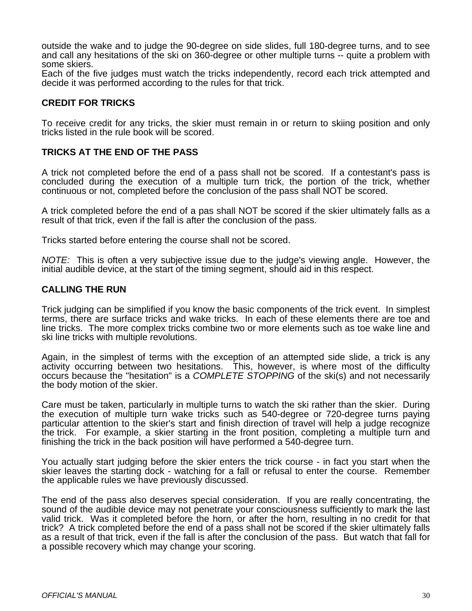outside the wake and to judge the 90-degree on side slides, full 180-degree turns, and to see and call any hesitations of the ski on 360-degree or other multiple turns -- quite a problem with some skiers.

Each of the five judges must watch the tricks independently, record each trick attempted and decide it was performed according to the rules for that trick.

# **CREDIT FOR TRICKS**

To receive credit for any tricks, the skier must remain in or return to skiing position and only tricks listed in the rule book will be scored.

# **TRICKS AT THE END OF THE PASS**

A trick not completed before the end of a pass shall not be scored. If a contestant's pass is concluded during the execution of a multiple turn trick, the portion of the trick, whether continuous or not, completed before the conclusion of the pass shall NOT be scored.

A trick completed before the end of a pas shall NOT be scored if the skier ultimately falls as a result of that trick, even if the fall is after the conclusion of the pass.

Tricks started before entering the course shall not be scored.

*NOTE:* This is often a very subjective issue due to the judge's viewing angle. However, the initial audible device, at the start of the timing segment, should aid in this respect.

# **CALLING THE RUN**

Trick judging can be simplified if you know the basic components of the trick event. In simplest terms, there are surface tricks and wake tricks. In each of these elements there are toe and line tricks. The more complex tricks combine two or more elements such as toe wake line and ski line tricks with multiple revolutions.

Again, in the simplest of terms with the exception of an attempted side slide, a trick is any activity occurring between two hesitations. This, however, is where most of the difficulty occurs because the "hesitation" is a *COMPLETE STOPPING* of the ski(s) and not necessarily the body motion of the skier.

Care must be taken, particularly in multiple turns to watch the ski rather than the skier. During the execution of multiple turn wake tricks such as 540-degree or 720-degree turns paying particular attention to the skier's start and finish direction of travel will help a judge recognize the trick. For example, a skier starting in the front position, completing a multiple turn and finishing the trick in the back position will have performed a 540-degree turn.

You actually start judging before the skier enters the trick course - in fact you start when the skier leaves the starting dock - watching for a fall or refusal to enter the course. Remember the applicable rules we have previously discussed.

The end of the pass also deserves special consideration. If you are really concentrating, the sound of the audible device may not penetrate your consciousness sufficiently to mark the last valid trick. Was it completed before the horn, or after the horn, resulting in no credit for that trick? A trick completed before the end of a pass shall not be scored if the skier ultimately falls as a result of that trick, even if the fall is after the conclusion of the pass. But watch that fall for a possible recovery which may change your scoring.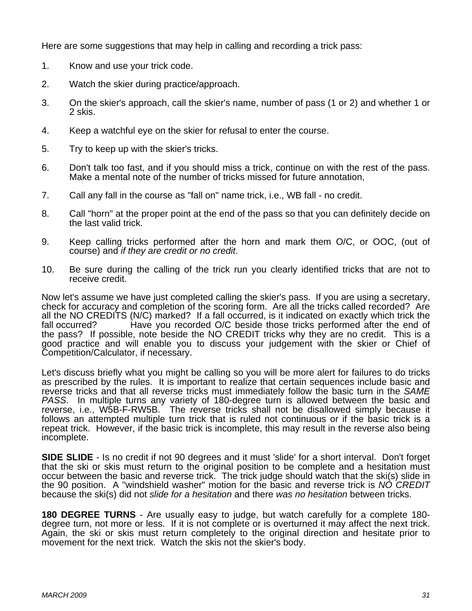Here are some suggestions that may help in calling and recording a trick pass:

- 1. Know and use your trick code.
- 2. Watch the skier during practice/approach.
- 3. On the skier's approach, call the skier's name, number of pass (1 or 2) and whether 1 or 2 skis.
- 4. Keep a watchful eye on the skier for refusal to enter the course.
- 5. Try to keep up with the skier's tricks.
- 6. Don't talk too fast, and if you should miss a trick, continue on with the rest of the pass. Make a mental note of the number of tricks missed for future annotation,
- 7. Call any fall in the course as "fall on" name trick, i.e., WB fall no credit.
- 8. Call "horn" at the proper point at the end of the pass so that you can definitely decide on the last valid trick.
- 9. Keep calling tricks performed after the horn and mark them O/C, or OOC, (out of course) and *if they are credit or no credit*.
- 10. Be sure during the calling of the trick run you clearly identified tricks that are not to receive credit.

Now let's assume we have just completed calling the skier's pass. If you are using a secretary, check for accuracy and completion of the scoring form. Are all the tricks called recorded? Are all the NO CREDITS (N/C) marked? If a fall occurred, is it indicated on exactly which trick the fall occurred? Have you recorded O/C beside those tricks performed after the end of the pass? If possible, note beside the NO CREDIT tricks why they are no credit. This is a good practice and will enable you to discuss your judgement with the skier or Chief of Competition/Calculator, if necessary.

Let's discuss briefly what you might be calling so you will be more alert for failures to do tricks as prescribed by the rules. It is important to realize that certain sequences include basic and reverse tricks and that all reverse tricks must immediately follow the basic turn in the *SAME PASS*. In multiple turns any variety of 180-degree turn is allowed between the basic and reverse, i.e., W5B-F-RW5B. The reverse tricks shall not be disallowed simply because it follows an attempted multiple turn trick that is ruled not continuous or if the basic trick is a repeat trick. However, if the basic trick is incomplete, this may result in the reverse also being incomplete.

**SIDE SLIDE** - Is no credit if not 90 degrees and it must 'slide' for a short interval. Don't forget that the ski or skis must return to the original position to be complete and a hesitation must occur between the basic and reverse trick. The trick judge should watch that the ski(s) slide in the 90 position. A "windshield washer" motion for the basic and reverse trick is *NO CREDIT* because the ski(s) did not *slide for a hesitation* and there *was no hesitation* between tricks.

**180 DEGREE TURNS** - Are usually easy to judge, but watch carefully for a complete 180 degree turn, not more or less. If it is not complete or is overturned it may affect the next trick. Again, the ski or skis must return completely to the original direction and hesitate prior to movement for the next trick. Watch the skis not the skier's body.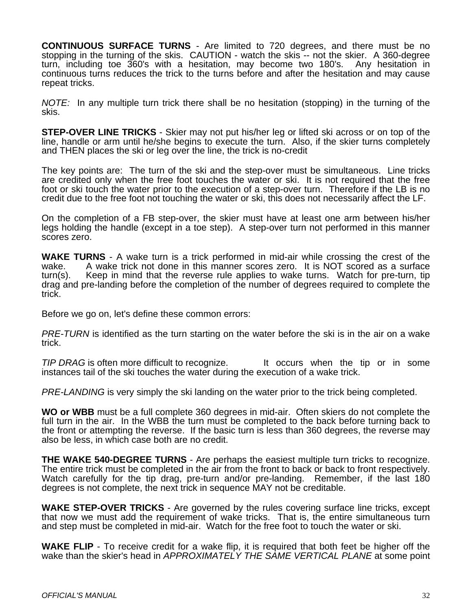**CONTINUOUS SURFACE TURNS** - Are limited to 720 degrees, and there must be no stopping in the turning of the skis. CAUTION - watch the skis -- not the skier. A 360-degree turn, including toe 360's with a hesitation, may become two 180's. Any hesitation in continuous turns reduces the trick to the turns before and after the hesitation and may cause repeat tricks.

*NOTE:* In any multiple turn trick there shall be no hesitation (stopping) in the turning of the skis.

**STEP-OVER LINE TRICKS** - Skier may not put his/her leg or lifted ski across or on top of the line, handle or arm until he/she begins to execute the turn. Also, if the skier turns completely and THEN places the ski or leg over the line, the trick is no-credit

The key points are: The turn of the ski and the step-over must be simultaneous. Line tricks are credited only when the free foot touches the water or ski. It is not required that the free foot or ski touch the water prior to the execution of a step-over turn. Therefore if the LB is no credit due to the free foot not touching the water or ski, this does not necessarily affect the LF.

On the completion of a FB step-over, the skier must have at least one arm between his/her legs holding the handle (except in a toe step). A step-over turn not performed in this manner scores zero.

**WAKE TURNS** - A wake turn is a trick performed in mid-air while crossing the crest of the wake. A wake trick not done in this manner scores zero. It is NOT scored as a surface turn(s). Keep in mind that the reverse rule applies to wake turns. Watch for pre-turn, tip drag and pre-landing before the completion of the number of degrees required to complete the trick.

Before we go on, let's define these common errors:

*PRE-TURN* is identified as the turn starting on the water before the ski is in the air on a wake trick.

*TIP DRAG* is often more difficult to recognize. It occurs when the tip or in some instances tail of the ski touches the water during the execution of a wake trick.

*PRE-LANDING* is very simply the ski landing on the water prior to the trick being completed.

**WO or WBB** must be a full complete 360 degrees in mid-air. Often skiers do not complete the full turn in the air. In the WBB the turn must be completed to the back before turning back to the front or attempting the reverse. If the basic turn is less than 360 degrees, the reverse may also be less, in which case both are no credit.

**THE WAKE 540-DEGREE TURNS** - Are perhaps the easiest multiple turn tricks to recognize. The entire trick must be completed in the air from the front to back or back to front respectively. Watch carefully for the tip drag, pre-turn and/or pre-landing. Remember, if the last 180 degrees is not complete, the next trick in sequence MAY not be creditable.

**WAKE STEP-OVER TRICKS** - Are governed by the rules covering surface line tricks, except that now we must add the requirement of wake tricks. That is, the entire simultaneous turn and step must be completed in mid-air. Watch for the free foot to touch the water or ski.

**WAKE FLIP** - To receive credit for a wake flip, it is required that both feet be higher off the wake than the skier's head in *APPROXIMATELY THE SAME VERTICAL PLANE* at some point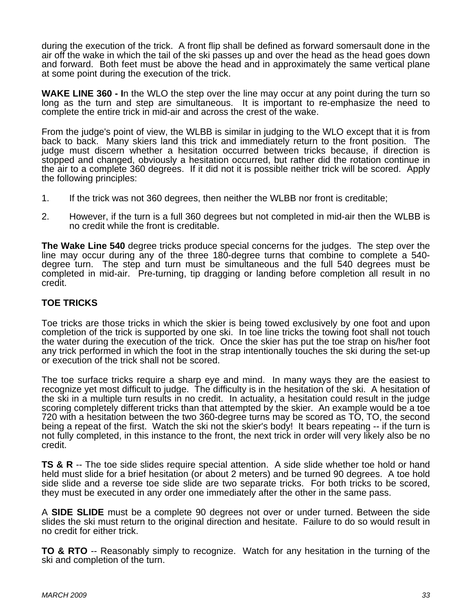during the execution of the trick. A front flip shall be defined as forward somersault done in the air off the wake in which the tail of the ski passes up and over the head as the head goes down and forward. Both feet must be above the head and in approximately the same vertical plane at some point during the execution of the trick.

**WAKE LINE 360 - I**n the WLO the step over the line may occur at any point during the turn so long as the turn and step are simultaneous. It is important to re-emphasize the need to complete the entire trick in mid-air and across the crest of the wake.

From the judge's point of view, the WLBB is similar in judging to the WLO except that it is from back to back. Many skiers land this trick and immediately return to the front position. The judge must discern whether a hesitation occurred between tricks because, if direction is stopped and changed, obviously a hesitation occurred, but rather did the rotation continue in the air to a complete 360 degrees. If it did not it is possible neither trick will be scored. Apply the following principles:

- 1. If the trick was not 360 degrees, then neither the WLBB nor front is creditable;
- 2. However, if the turn is a full 360 degrees but not completed in mid-air then the WLBB is no credit while the front is creditable.

**The Wake Line 540** degree tricks produce special concerns for the judges. The step over the line may occur during any of the three 180-degree turns that combine to complete a 540 degree turn. The step and turn must be simultaneous and the full 540 degrees must be completed in mid-air. Pre-turning, tip dragging or landing before completion all result in no credit.

# **TOE TRICKS**

Toe tricks are those tricks in which the skier is being towed exclusively by one foot and upon completion of the trick is supported by one ski. In toe line tricks the towing foot shall not touch the water during the execution of the trick. Once the skier has put the toe strap on his/her foot any trick performed in which the foot in the strap intentionally touches the ski during the set-up or execution of the trick shall not be scored.

The toe surface tricks require a sharp eye and mind. In many ways they are the easiest to recognize yet most difficult to judge. The difficulty is in the hesitation of the ski. A hesitation of the ski in a multiple turn results in no credit. In actuality, a hesitation could result in the judge scoring completely different tricks than that attempted by the skier. An example would be a toe 720 with a hesitation between the two 360-degree turns may be scored as TO, TO, the second being a repeat of the first. Watch the ski not the skier's body! It bears repeating -- if the turn is not fully completed, in this instance to the front, the next trick in order will very likely also be no credit.

**TS & R** -- The toe side slides require special attention. A side slide whether toe hold or hand held must slide for a brief hesitation (or about 2 meters) and be turned 90 degrees. A toe hold side slide and a reverse toe side slide are two separate tricks. For both tricks to be scored, they must be executed in any order one immediately after the other in the same pass.

A **SIDE SLIDE** must be a complete 90 degrees not over or under turned. Between the side slides the ski must return to the original direction and hesitate. Failure to do so would result in no credit for either trick.

**TO & RTO** -- Reasonably simply to recognize. Watch for any hesitation in the turning of the ski and completion of the turn.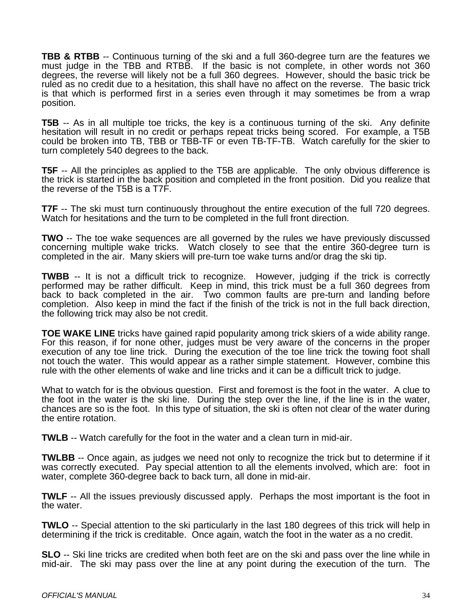**TBB & RTBB** -- Continuous turning of the ski and a full 360-degree turn are the features we must judge in the TBB and RTBB. If the basic is not complete, in other words not 360 degrees, the reverse will likely not be a full 360 degrees. However, should the basic trick be ruled as no credit due to a hesitation, this shall have no affect on the reverse. The basic trick is that which is performed first in a series even through it may sometimes be from a wrap position.

**T5B** -- As in all multiple toe tricks, the key is a continuous turning of the ski. Any definite hesitation will result in no credit or perhaps repeat tricks being scored. For example, a T5B could be broken into TB, TBB or TBB-TF or even TB-TF-TB. Watch carefully for the skier to turn completely 540 degrees to the back.

**T5F** -- All the principles as applied to the T5B are applicable. The only obvious difference is the trick is started in the back position and completed in the front position. Did you realize that the reverse of the T5B is a T7F.

**T7F** -- The ski must turn continuously throughout the entire execution of the full 720 degrees. Watch for hesitations and the turn to be completed in the full front direction.

**TWO** -- The toe wake sequences are all governed by the rules we have previously discussed concerning multiple wake tricks. Watch closely to see that the entire 360-degree turn is completed in the air. Many skiers will pre-turn toe wake turns and/or drag the ski tip.

**TWBB** -- It is not a difficult trick to recognize. However, judging if the trick is correctly performed may be rather difficult. Keep in mind, this trick must be a full 360 degrees from back to back completed in the air. Two common faults are pre-turn and landing before completion. Also keep in mind the fact if the finish of the trick is not in the full back direction, the following trick may also be not credit.

**TOE WAKE LINE** tricks have gained rapid popularity among trick skiers of a wide ability range. For this reason, if for none other, judges must be very aware of the concerns in the proper execution of any toe line trick. During the execution of the toe line trick the towing foot shall not touch the water. This would appear as a rather simple statement. However, combine this rule with the other elements of wake and line tricks and it can be a difficult trick to judge.

What to watch for is the obvious question. First and foremost is the foot in the water. A clue to the foot in the water is the ski line. During the step over the line, if the line is in the water, chances are so is the foot. In this type of situation, the ski is often not clear of the water during the entire rotation.

**TWLB** -- Watch carefully for the foot in the water and a clean turn in mid-air.

**TWLBB** -- Once again, as judges we need not only to recognize the trick but to determine if it was correctly executed. Pay special attention to all the elements involved, which are: foot in water, complete 360-degree back to back turn, all done in mid-air.

**TWLF** -- All the issues previously discussed apply. Perhaps the most important is the foot in the water.

**TWLO** -- Special attention to the ski particularly in the last 180 degrees of this trick will help in determining if the trick is creditable. Once again, watch the foot in the water as a no credit.

**SLO** -- Ski line tricks are credited when both feet are on the ski and pass over the line while in mid-air. The ski may pass over the line at any point during the execution of the turn. The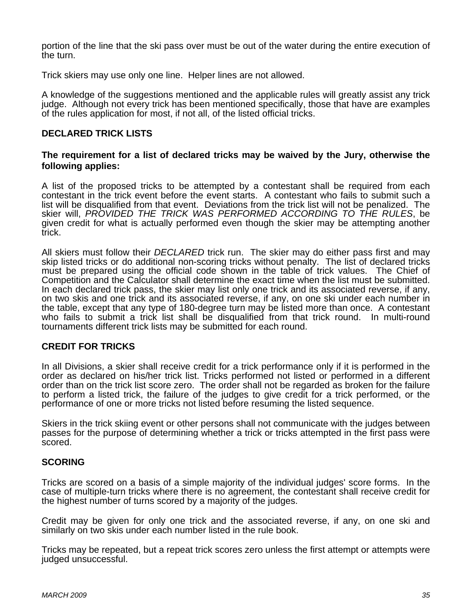portion of the line that the ski pass over must be out of the water during the entire execution of the turn.

Trick skiers may use only one line. Helper lines are not allowed.

A knowledge of the suggestions mentioned and the applicable rules will greatly assist any trick judge. Although not every trick has been mentioned specifically, those that have are examples of the rules application for most, if not all, of the listed official tricks.

#### **DECLARED TRICK LISTS**

#### **The requirement for a list of declared tricks may be waived by the Jury, otherwise the following applies:**

A list of the proposed tricks to be attempted by a contestant shall be required from each contestant in the trick event before the event starts. A contestant who fails to submit such a list will be disqualified from that event. Deviations from the trick list will not be penalized. The skier will, *PROVIDED THE TRICK WAS PERFORMED ACCORDING TO THE RULES*, be given credit for what is actually performed even though the skier may be attempting another trick.

All skiers must follow their *DECLARED* trick run. The skier may do either pass first and may skip listed tricks or do additional non-scoring tricks without penalty. The list of declared tricks must be prepared using the official code shown in the table of trick values. The Chief of Competition and the Calculator shall determine the exact time when the list must be submitted. In each declared trick pass, the skier may list only one trick and its associated reverse, if any, on two skis and one trick and its associated reverse, if any, on one ski under each number in the table, except that any type of 180-degree turn may be listed more than once. A contestant who fails to submit a trick list shall be disqualified from that trick round. In multi-round tournaments different trick lists may be submitted for each round.

#### **CREDIT FOR TRICKS**

In all Divisions, a skier shall receive credit for a trick performance only if it is performed in the order as declared on his/her trick list. Tricks performed not listed or performed in a different order than on the trick list score zero. The order shall not be regarded as broken for the failure to perform a listed trick, the failure of the judges to give credit for a trick performed, or the performance of one or more tricks not listed before resuming the listed sequence.

Skiers in the trick skiing event or other persons shall not communicate with the judges between passes for the purpose of determining whether a trick or tricks attempted in the first pass were scored.

#### **SCORING**

Tricks are scored on a basis of a simple majority of the individual judges' score forms. In the case of multiple-turn tricks where there is no agreement, the contestant shall receive credit for the highest number of turns scored by a majority of the judges.

Credit may be given for only one trick and the associated reverse, if any, on one ski and similarly on two skis under each number listed in the rule book.

Tricks may be repeated, but a repeat trick scores zero unless the first attempt or attempts were judged unsuccessful.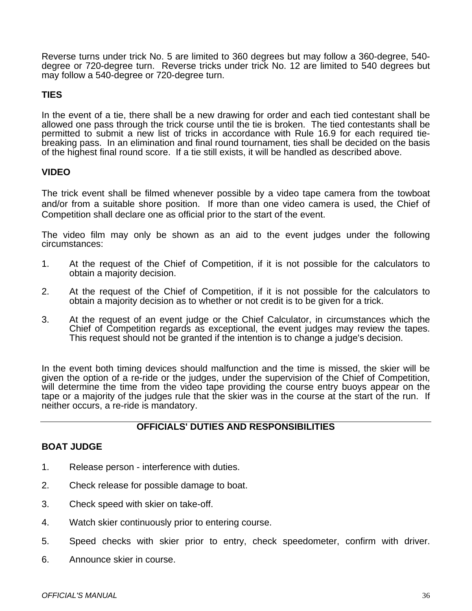Reverse turns under trick No. 5 are limited to 360 degrees but may follow a 360-degree, 540 degree or 720-degree turn. Reverse tricks under trick No. 12 are limited to 540 degrees but may follow a 540-degree or 720-degree turn.

# **TIES**

In the event of a tie, there shall be a new drawing for order and each tied contestant shall be allowed one pass through the trick course until the tie is broken. The tied contestants shall be permitted to submit a new list of tricks in accordance with Rule 16.9 for each required tiebreaking pass. In an elimination and final round tournament, ties shall be decided on the basis of the highest final round score. If a tie still exists, it will be handled as described above.

# **VIDEO**

The trick event shall be filmed whenever possible by a video tape camera from the towboat and/or from a suitable shore position. If more than one video camera is used, the Chief of Competition shall declare one as official prior to the start of the event.

The video film may only be shown as an aid to the event judges under the following circumstances:

- 1. At the request of the Chief of Competition, if it is not possible for the calculators to obtain a majority decision.
- 2. At the request of the Chief of Competition, if it is not possible for the calculators to obtain a majority decision as to whether or not credit is to be given for a trick.
- 3. At the request of an event judge or the Chief Calculator, in circumstances which the Chief of Competition regards as exceptional, the event judges may review the tapes. This request should not be granted if the intention is to change a judge's decision.

In the event both timing devices should malfunction and the time is missed, the skier will be given the option of a re-ride or the judges, under the supervision of the Chief of Competition, will determine the time from the video tape providing the course entry buoys appear on the tape or a majority of the judges rule that the skier was in the course at the start of the run. If neither occurs, a re-ride is mandatory.

# **OFFICIALS' DUTIES AND RESPONSIBILITIES**

# **BOAT JUDGE**

- 1. Release person interference with duties.
- 2. Check release for possible damage to boat.
- 3. Check speed with skier on take-off.
- 4. Watch skier continuously prior to entering course.
- 5. Speed checks with skier prior to entry, check speedometer, confirm with driver.
- 6. Announce skier in course.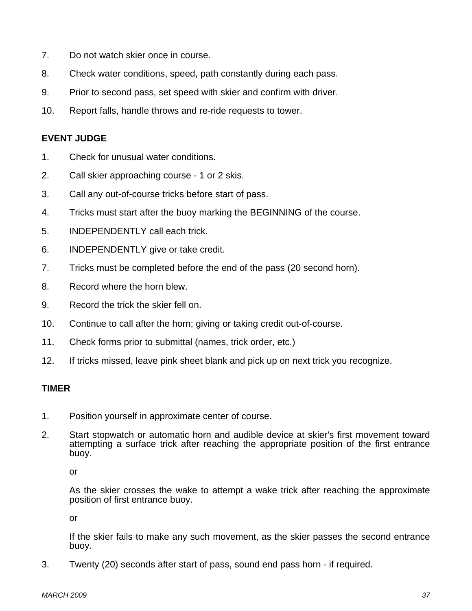- 7. Do not watch skier once in course.
- 8. Check water conditions, speed, path constantly during each pass.
- 9. Prior to second pass, set speed with skier and confirm with driver.
- 10. Report falls, handle throws and re-ride requests to tower.

# **EVENT JUDGE**

- 1. Check for unusual water conditions.
- 2. Call skier approaching course 1 or 2 skis.
- 3. Call any out-of-course tricks before start of pass.
- 4. Tricks must start after the buoy marking the BEGINNING of the course.
- 5. INDEPENDENTLY call each trick.
- 6. INDEPENDENTLY give or take credit.
- 7. Tricks must be completed before the end of the pass (20 second horn).
- 8. Record where the horn blew.
- 9. Record the trick the skier fell on.
- 10. Continue to call after the horn; giving or taking credit out-of-course.
- 11. Check forms prior to submittal (names, trick order, etc.)
- 12. If tricks missed, leave pink sheet blank and pick up on next trick you recognize.

#### **TIMER**

- 1. Position yourself in approximate center of course.
- 2. Start stopwatch or automatic horn and audible device at skier's first movement toward attempting a surface trick after reaching the appropriate position of the first entrance buoy.

or

 As the skier crosses the wake to attempt a wake trick after reaching the approximate position of first entrance buoy.

or

 If the skier fails to make any such movement, as the skier passes the second entrance buoy.

3. Twenty (20) seconds after start of pass, sound end pass horn - if required.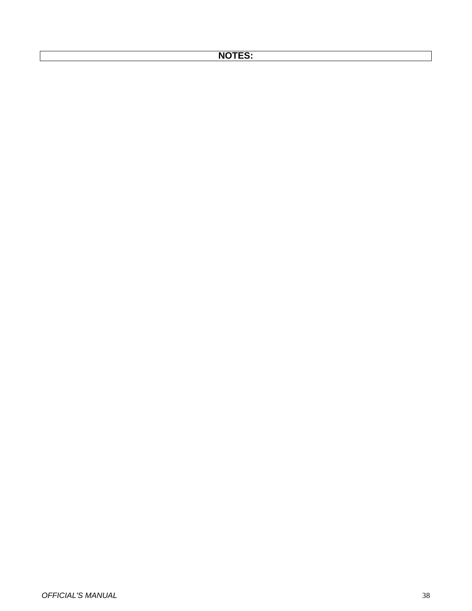# **NOTES:**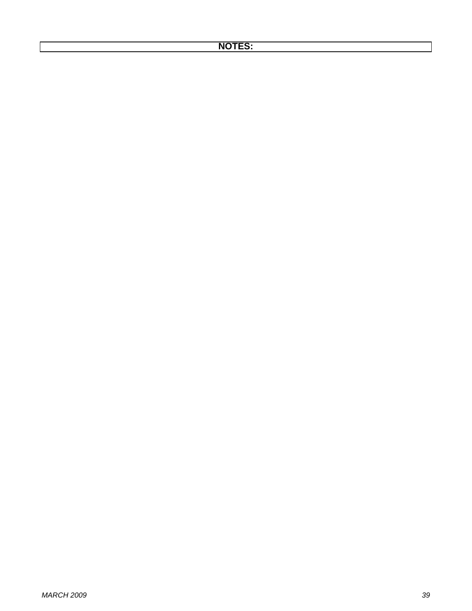# **NOTES:**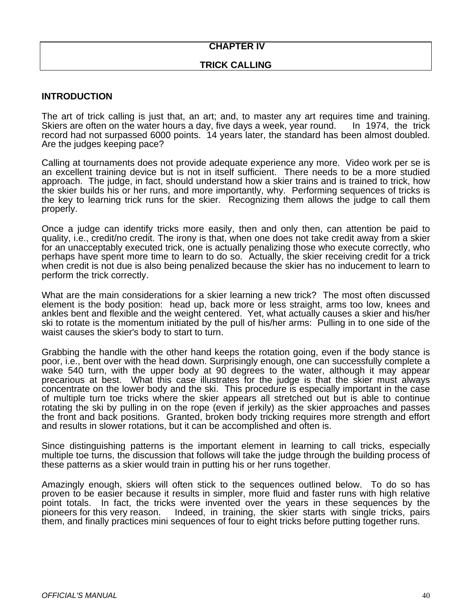# **CHAPTER IV**

# **TRICK CALLING**

#### **INTRODUCTION**

The art of trick calling is just that, an art; and, to master any art requires time and training. Skiers are often on the water hours a day, five days a week, year round. In 1974, the trick record had not surpassed 6000 points. 14 years later, the standard has been almost doubled. Are the judges keeping pace?

Calling at tournaments does not provide adequate experience any more. Video work per se is an excellent training device but is not in itself sufficient. There needs to be a more studied approach. The judge, in fact, should understand how a skier trains and is trained to trick, how the skier builds his or her runs, and more importantly, why. Performing sequences of tricks is the key to learning trick runs for the skier. Recognizing them allows the judge to call them properly.

Once a judge can identify tricks more easily, then and only then, can attention be paid to quality, i.e., credit/no credit. The irony is that, when one does not take credit away from a skier for an unacceptably executed trick, one is actually penalizing those who execute correctly, who perhaps have spent more time to learn to do so. Actually, the skier receiving credit for a trick when credit is not due is also being penalized because the skier has no inducement to learn to perform the trick correctly.

What are the main considerations for a skier learning a new trick? The most often discussed element is the body position: head up, back more or less straight, arms too low, knees and ankles bent and flexible and the weight centered. Yet, what actually causes a skier and his/her ski to rotate is the momentum initiated by the pull of his/her arms: Pulling in to one side of the waist causes the skier's body to start to turn.

Grabbing the handle with the other hand keeps the rotation going, even if the body stance is poor, i.e., bent over with the head down. Surprisingly enough, one can successfully complete a wake 540 turn, with the upper body at 90 degrees to the water, although it may appear precarious at best. What this case illustrates for the judge is that the skier must always concentrate on the lower body and the ski. This procedure is especially important in the case of multiple turn toe tricks where the skier appears all stretched out but is able to continue rotating the ski by pulling in on the rope (even if jerkily) as the skier approaches and passes the front and back positions. Granted, broken body tricking requires more strength and effort and results in slower rotations, but it can be accomplished and often is.

Since distinguishing patterns is the important element in learning to call tricks, especially multiple toe turns, the discussion that follows will take the judge through the building process of these patterns as a skier would train in putting his or her runs together.

Amazingly enough, skiers will often stick to the sequences outlined below. To do so has proven to be easier because it results in simpler, more fluid and faster runs with high relative point totals. In fact, the tricks were invented over the years in these sequences by the pioneers for this very reason. Indeed, in training, the skier starts with single tricks, pairs them, and finally practices mini sequences of four to eight tricks before putting together runs.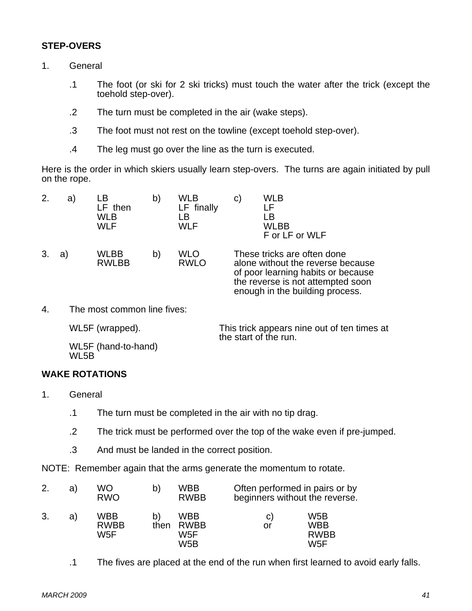# **STEP-OVERS**

- 1. General
	- .1 The foot (or ski for 2 ski tricks) must touch the water after the trick (except the toehold step-over).
	- .2 The turn must be completed in the air (wake steps).
	- .3 The foot must not rest on the towline (except toehold step-over).
	- .4 The leg must go over the line as the turn is executed.

Here is the order in which skiers usually learn step-overs. The turns are again initiated by pull on the rope.

| 2. | a) | LB<br>LF then<br><b>WLB</b><br><b>WLF</b> | b) | <b>WLB</b><br>LF finally<br>LB<br><b>WLF</b> | <b>WLB</b><br>C)<br>LB<br><b>WLBB</b><br>F or LF or WLF                                                                                                                        |
|----|----|-------------------------------------------|----|----------------------------------------------|--------------------------------------------------------------------------------------------------------------------------------------------------------------------------------|
|    | a. | WLBB<br><b>RWLBB</b>                      | b) | <b>WLO</b><br><b>RWLO</b>                    | These tricks are often done<br>alone without the reverse because<br>of poor learning habits or because<br>the reverse is not attempted soon<br>enough in the building process. |

4. The most common line fives:

| WL5F (wrapped).             | This trick appears nine out of ten times at<br>the start of the run. |
|-----------------------------|----------------------------------------------------------------------|
| WL5F (hand-to-hand)<br>WL5B |                                                                      |

# **WAKE ROTATIONS**

- 1. General
	- .1 The turn must be completed in the air with no tip drag.
	- .2 The trick must be performed over the top of the wake even if pre-jumped.
	- .3 And must be landed in the correct position.

NOTE: Remember again that the arms generate the momentum to rotate.

| 2. | a) | WO<br><b>RWO</b>          | b)   | WBB<br><b>RWBB</b>                            | Often performed in pairs or by<br>beginners without the reverse. |                                                                   |
|----|----|---------------------------|------|-----------------------------------------------|------------------------------------------------------------------|-------------------------------------------------------------------|
| 3. | a) | WBB<br><b>RWBB</b><br>W5F | then | WBB<br><b>RWBB</b><br>W5F<br>W <sub>5</sub> B | C)<br>or                                                         | W <sub>5</sub> B<br><b>WBB</b><br><b>RWBB</b><br>W <sub>5</sub> F |

.1 The fives are placed at the end of the run when first learned to avoid early falls.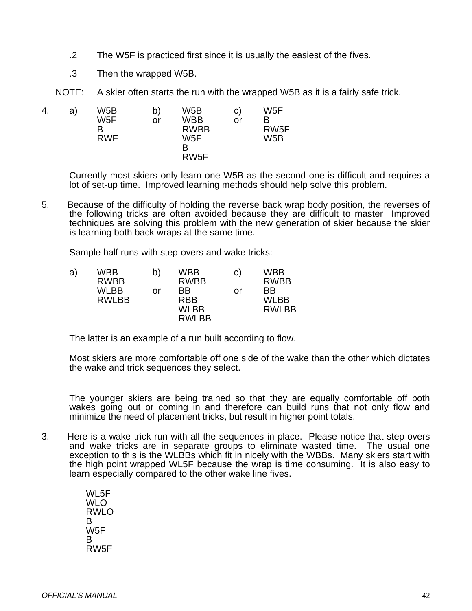- .2 The W5F is practiced first since it is usually the easiest of the fives.
- .3 Then the wrapped W5B.

NOTE: A skier often starts the run with the wrapped W5B as it is a fairly safe trick.

4. a) W5B b) W5B c) W5F W5F or WBB or B B RWBB RW5F RWF W5F W5B **B** and the state of the state of the B RW5F

> Currently most skiers only learn one W5B as the second one is difficult and requires a lot of set-up time. Improved learning methods should help solve this problem.

5. Because of the difficulty of holding the reverse back wrap body position, the reverses of the following tricks are often avoided because they are difficult to master Improved techniques are solving this problem with the new generation of skier because the skier is learning both back wraps at the same time.

Sample half runs with step-overs and wake tricks:

| a) | WBB          | b) | WBB          | C) | WBB          |
|----|--------------|----|--------------|----|--------------|
|    | <b>RWBB</b>  |    | <b>RWBB</b>  |    | <b>RWBB</b>  |
|    | WLBB         | or | BB.          | or | <b>BB</b>    |
|    | <b>RWLBB</b> |    | <b>RBB</b>   |    | WI BB        |
|    |              |    | WLBB         |    | <b>RWLBB</b> |
|    |              |    | <b>RWLBB</b> |    |              |

The latter is an example of a run built according to flow.

Most skiers are more comfortable off one side of the wake than the other which dictates the wake and trick sequences they select.

The younger skiers are being trained so that they are equally comfortable off both wakes going out or coming in and therefore can build runs that not only flow and minimize the need of placement tricks, but result in higher point totals.

3. Here is a wake trick run with all the sequences in place. Please notice that step-overs and wake tricks are in separate groups to eliminate wasted time. The usual one exception to this is the WLBBs which fit in nicely with the WBBs. Many skiers start with the high point wrapped WL5F because the wrap is time consuming. It is also easy to learn especially compared to the other wake line fives.

> WL5F WLO RWLO B W5F B RW5F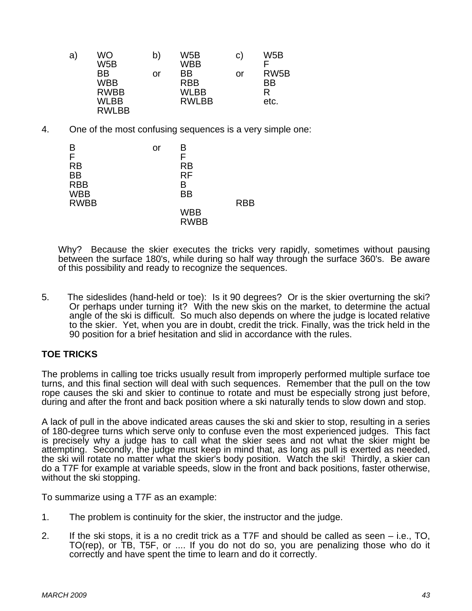| a) | WO<br>W5B                                               | b) | W5B<br>WBB                                      | C. | W5B                                  |
|----|---------------------------------------------------------|----|-------------------------------------------------|----|--------------------------------------|
|    | ΒB<br>WBB<br><b>RWBB</b><br><b>WLBB</b><br><b>RWLBB</b> | or | ВB<br><b>RBB</b><br><b>WLBB</b><br><b>RWLBB</b> | or | RW <sub>5</sub> B<br>BB<br>R<br>etc. |

4. One of the most confusing sequences is a very simple one:

| в                         | or | B                         |            |
|---------------------------|----|---------------------------|------------|
| F<br><b>RB</b>            |    | F                         |            |
| <b>BB</b>                 |    | <b>RB</b><br><b>RF</b>    |            |
| <b>RBB</b>                |    | в                         |            |
| <b>WBB</b><br><b>RWBB</b> |    | <b>BB</b>                 | <b>RBB</b> |
|                           |    | <b>WBB</b><br><b>RWBB</b> |            |

Why? Because the skier executes the tricks very rapidly, sometimes without pausing between the surface 180's, while during so half way through the surface 360's. Be aware of this possibility and ready to recognize the sequences.

5. The sideslides (hand-held or toe): Is it 90 degrees? Or is the skier overturning the ski? Or perhaps under turning it? With the new skis on the market, to determine the actual angle of the ski is difficult. So much also depends on where the judge is located relative to the skier. Yet, when you are in doubt, credit the trick. Finally, was the trick held in the 90 position for a brief hesitation and slid in accordance with the rules.

# **TOE TRICKS**

The problems in calling toe tricks usually result from improperly performed multiple surface toe turns, and this final section will deal with such sequences. Remember that the pull on the tow rope causes the ski and skier to continue to rotate and must be especially strong just before, during and after the front and back position where a ski naturally tends to slow down and stop.

A lack of pull in the above indicated areas causes the ski and skier to stop, resulting in a series of 180-degree turns which serve only to confuse even the most experienced judges. This fact is precisely why a judge has to call what the skier sees and not what the skier might be attempting. Secondly, the judge must keep in mind that, as long as pull is exerted as needed, the ski will rotate no matter what the skier's body position. Watch the ski! Thirdly, a skier can do a T7F for example at variable speeds, slow in the front and back positions, faster otherwise, without the ski stopping.

To summarize using a T7F as an example:

- 1. The problem is continuity for the skier, the instructor and the judge.
- 2. If the ski stops, it is a no credit trick as a T7F and should be called as seen i.e., TO, TO(rep), or TB, T5F, or .... If you do not do so, you are penalizing those who do it correctly and have spent the time to learn and do it correctly.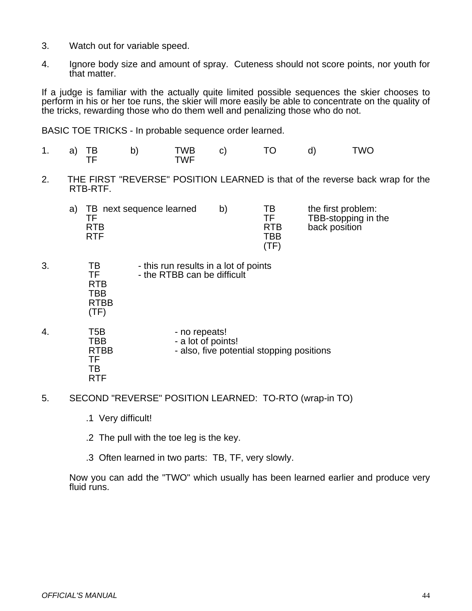- 3. Watch out for variable speed.
- 4. Ignore body size and amount of spray. Cuteness should not score points, nor youth for that matter.

If a judge is familiar with the actually quite limited possible sequences the skier chooses to perform in his or her toe runs, the skier will more easily be able to concentrate on the quality of the tricks, rewarding those who do them well and penalizing those who do not.

BASIC TOE TRICKS - In probable sequence order learned.

- 1. a) TB b) TWB c) TO d) TWO TF TWF
- 2. THE FIRST "REVERSE" POSITION LEARNED is that of the reverse back wrap for the RTB-RTF.

| TB next sequence learned<br>RTB | b) | TВ<br>TF<br><b>RTB</b> | the first problem:<br>TBB-stopping in the<br>back position |
|---------------------------------|----|------------------------|------------------------------------------------------------|
| RTF.                            |    | TBB                    |                                                            |
|                                 |    | (TF                    |                                                            |

- 3. TB this run results in a lot of points TF - the RTBB can be difficult RTB TBB RTBB (TF)
- 4. T5B no repeats!<br>TBB a lot of poin TBB - a lot of points!<br>RTBB - also, five poter - also, five potential stopping positions TF TB RTF
- 5. SECOND "REVERSE" POSITION LEARNED: TO-RTO (wrap-in TO)
	- .1 Very difficult!
	- .2 The pull with the toe leg is the key.
	- .3 Often learned in two parts: TB, TF, very slowly.

Now you can add the "TWO" which usually has been learned earlier and produce very fluid runs.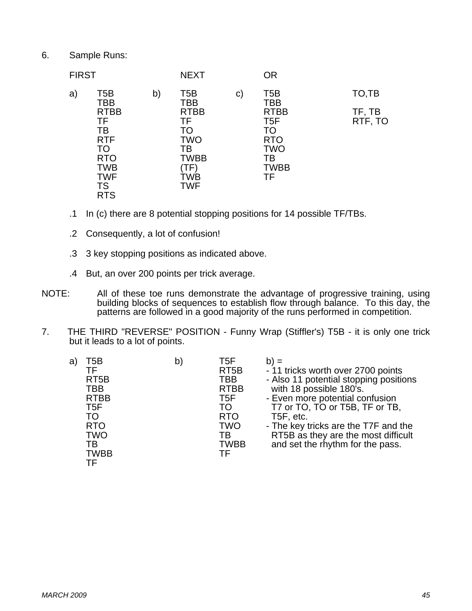6. Sample Runs:

| <b>FIRST</b> |                                                                                                                  |    | <b>NEXT</b>                                                                            |    | <b>OR</b>                                                                                    |                   |
|--------------|------------------------------------------------------------------------------------------------------------------|----|----------------------------------------------------------------------------------------|----|----------------------------------------------------------------------------------------------|-------------------|
| a)           | T5B<br>TBB                                                                                                       | b) | T5B<br>TBB                                                                             | C) | T5B<br>TBB                                                                                   | TO,TB             |
|              | <b>RTBB</b><br>TF<br>ТB<br><b>RTF</b><br>TO<br><b>RTO</b><br><b>TWB</b><br><b>TWF</b><br><b>TS</b><br><b>RTS</b> |    | <b>RTBB</b><br>TF<br>TO<br><b>TWO</b><br>ТB<br><b>TWBB</b><br>TF)<br>ŤWB<br><b>TWF</b> |    | <b>RTBB</b><br>T <sub>5</sub> F<br>TO<br><b>RTO</b><br><b>TWO</b><br>ТB<br><b>TWBB</b><br>TF | TF, TB<br>RTF, TO |

- .1 In (c) there are 8 potential stopping positions for 14 possible TF/TBs.
- .2 Consequently, a lot of confusion!
- .3 3 key stopping positions as indicated above.
- .4 But, an over 200 points per trick average.
- NOTE: All of these toe runs demonstrate the advantage of progressive training, using building blocks of sequences to establish flow through balance. To this day, the patterns are followed in a good majority of the runs performed in competition.
- 7. THE THIRD "REVERSE" POSITION Funny Wrap (Stiffler's) T5B it is only one trick but it leads to a lot of points.

| T5B<br>a)<br>TF<br>RT <sub>5</sub> B<br>TBB<br><b>RTBB</b><br>T <sub>5F</sub><br>TO<br><b>RTO</b><br><b>TWO</b><br>TВ<br><b>TWBB</b> | $\mathsf{b}$ | T5F<br>RT <sub>5</sub> B<br>TBB<br><b>RTBB</b><br>T <sub>5F</sub><br>TO<br><b>RTO</b><br><b>TWO</b><br>TB<br><b>TWBB</b><br>ТF | $b) =$<br>- 11 tricks worth over 2700 points<br>- Also 11 potential stopping positions<br>with 18 possible 180's.<br>- Even more potential confusion<br>T7 or TO, TO or T5B, TF or TB,<br>T5F, etc.<br>- The key tricks are the T7F and the<br>RT5B as they are the most difficult<br>and set the rhythm for the pass. |
|--------------------------------------------------------------------------------------------------------------------------------------|--------------|--------------------------------------------------------------------------------------------------------------------------------|------------------------------------------------------------------------------------------------------------------------------------------------------------------------------------------------------------------------------------------------------------------------------------------------------------------------|
| ΤF                                                                                                                                   |              |                                                                                                                                |                                                                                                                                                                                                                                                                                                                        |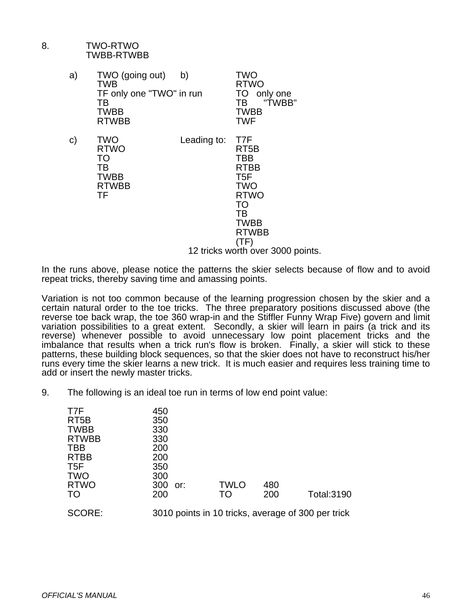# 8. TWO-RTWO TWBB-RTWBB

| a) | TWO (going out)<br>TWB<br>TF only one "TWO" in run<br>TВ<br>TWBB<br><b>RTWBB</b> | b)          | TWO<br><b>RTWO</b><br>TO<br>only one<br>"TWBB"<br>TВ<br>TWBB<br><b>TWF</b>                                         |
|----|----------------------------------------------------------------------------------|-------------|--------------------------------------------------------------------------------------------------------------------|
| C) | <b>TWO</b><br><b>RTWO</b><br>TO<br>тв<br><b>TWBB</b><br><b>RTWBB</b><br>TF       | Leading to: | T7F<br>RT5B<br>TBB<br>RTBB<br>T5F<br><b>TWO</b><br><b>RTWO</b><br><b>TO</b><br>TB<br>TWBB<br>RTWBB<br>$\mathsf{F}$ |

12 tricks worth over 3000 points.

In the runs above, please notice the patterns the skier selects because of flow and to avoid repeat tricks, thereby saving time and amassing points.

Variation is not too common because of the learning progression chosen by the skier and a certain natural order to the toe tricks. The three preparatory positions discussed above (the reverse toe back wrap, the toe 360 wrap-in and the Stiffler Funny Wrap Five) govern and limit variation possibilities to a great extent. Secondly, a skier will learn in pairs (a trick and its reverse) whenever possible to avoid unnecessary low point placement tricks and the imbalance that results when a trick run's flow is broken. Finally, a skier will stick to these patterns, these building block sequences, so that the skier does not have to reconstruct his/her runs every time the skier learns a new trick. It is much easier and requires less training time to add or insert the newly master tricks.

9. The following is an ideal toe run in terms of low end point value:

| T7F<br>RT <sub>5</sub> B<br><b>TWBB</b><br><b>RTWBB</b><br>TBB<br><b>RTBB</b><br>T <sub>5F</sub><br><b>TWO</b><br><b>RTWO</b><br>TO | 450<br>350<br>330<br>330<br>200<br>200<br>350<br>300<br>300 or:<br>200 | <b>TWLO</b><br>TO | 480<br>200 | <b>Total:3190</b>                                  |
|-------------------------------------------------------------------------------------------------------------------------------------|------------------------------------------------------------------------|-------------------|------------|----------------------------------------------------|
| SCORE:                                                                                                                              |                                                                        |                   |            | 3010 points in 10 tricks, average of 300 per trick |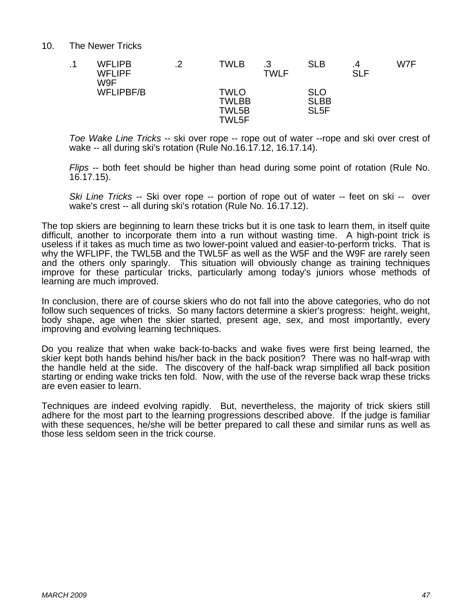#### 10. The Newer Tricks

| <b>WFLIPB</b><br><b>WFLIPF</b><br>W9F | 2 | <b>TWLB</b>                            | ີ<br>. ب<br><b>TWLF</b> | <b>SLB</b>                              | .4<br><b>SLF</b> | W7F |
|---------------------------------------|---|----------------------------------------|-------------------------|-----------------------------------------|------------------|-----|
| <b>WFLIPBF/B</b>                      |   | TWLO<br><b>TWLBB</b><br>TWL5B<br>TWL5F |                         | SLO<br><b>SLBB</b><br>SL <sub>5</sub> F |                  |     |

*Toe Wake Line Tricks* -- ski over rope -- rope out of water --rope and ski over crest of wake -- all during ski's rotation (Rule No.16.17.12, 16.17.14).

*Flips* -- both feet should be higher than head during some point of rotation (Rule No. 16.17.15).

*Ski Line Tricks* -- Ski over rope -- portion of rope out of water -- feet on ski -- over wake's crest -- all during ski's rotation (Rule No. 16.17.12).

The top skiers are beginning to learn these tricks but it is one task to learn them, in itself quite difficult, another to incorporate them into a run without wasting time. A high-point trick is useless if it takes as much time as two lower-point valued and easier-to-perform tricks. That is why the WFLIPF, the TWL5B and the TWL5F as well as the W5F and the W9F are rarely seen and the others only sparingly. This situation will obviously change as training techniques improve for these particular tricks, particularly among today's juniors whose methods of learning are much improved.

In conclusion, there are of course skiers who do not fall into the above categories, who do not follow such sequences of tricks. So many factors determine a skier's progress: height, weight, body shape, age when the skier started, present age, sex, and most importantly, every improving and evolving learning techniques.

Do you realize that when wake back-to-backs and wake fives were first being learned, the skier kept both hands behind his/her back in the back position? There was no half-wrap with the handle held at the side. The discovery of the half-back wrap simplified all back position starting or ending wake tricks ten fold. Now, with the use of the reverse back wrap these tricks are even easier to learn.

Techniques are indeed evolving rapidly. But, nevertheless, the majority of trick skiers still adhere for the most part to the learning progressions described above. If the judge is familiar with these sequences, he/she will be better prepared to call these and similar runs as well as those less seldom seen in the trick course.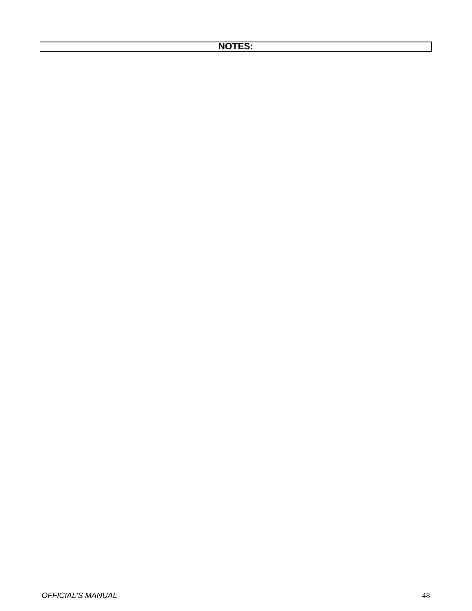# **NOTES:**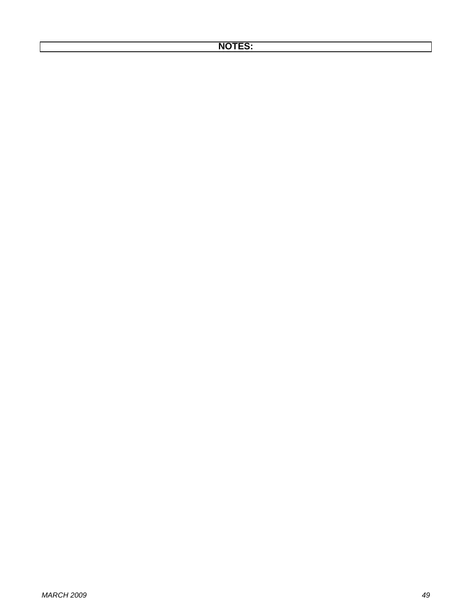# **NOTES:**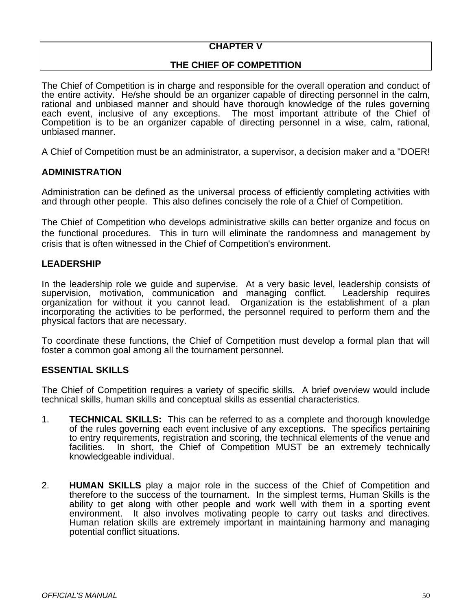# **CHAPTER V**

# **THE CHIEF OF COMPETITION**

The Chief of Competition is in charge and responsible for the overall operation and conduct of the entire activity. He/she should be an organizer capable of directing personnel in the calm, rational and unbiased manner and should have thorough knowledge of the rules governing each event, inclusive of any exceptions. The most important attribute of the Chief of Competition is to be an organizer capable of directing personnel in a wise, calm, rational, unbiased manner.

A Chief of Competition must be an administrator, a supervisor, a decision maker and a "DOER!

# **ADMINISTRATION**

Administration can be defined as the universal process of efficiently completing activities with and through other people. This also defines concisely the role of a Chief of Competition.

The Chief of Competition who develops administrative skills can better organize and focus on the functional procedures. This in turn will eliminate the randomness and management by crisis that is often witnessed in the Chief of Competition's environment.

#### **LEADERSHIP**

In the leadership role we guide and supervise. At a very basic level, leadership consists of supervision. motivation. communication and managing conflict. Leadership requires supervision, motivation, communication and managing conflict. organization for without it you cannot lead. Organization is the establishment of a plan incorporating the activities to be performed, the personnel required to perform them and the physical factors that are necessary.

To coordinate these functions, the Chief of Competition must develop a formal plan that will foster a common goal among all the tournament personnel.

#### **ESSENTIAL SKILLS**

The Chief of Competition requires a variety of specific skills. A brief overview would include technical skills, human skills and conceptual skills as essential characteristics.

- 1. **TECHNICAL SKILLS:** This can be referred to as a complete and thorough knowledge of the rules governing each event inclusive of any exceptions. The specifics pertaining to entry requirements, registration and scoring, the technical elements of the venue and facilities. In short, the Chief of Competition MUST be an extremely technically In short, the Chief of Competition MUST be an extremely technically knowledgeable individual.
- 2. **HUMAN SKILLS** play a major role in the success of the Chief of Competition and therefore to the success of the tournament. In the simplest terms, Human Skills is the ability to get along with other people and work well with them in a sporting event environment. It also involves motivating people to carry out tasks and directives. Human relation skills are extremely important in maintaining harmony and managing potential conflict situations.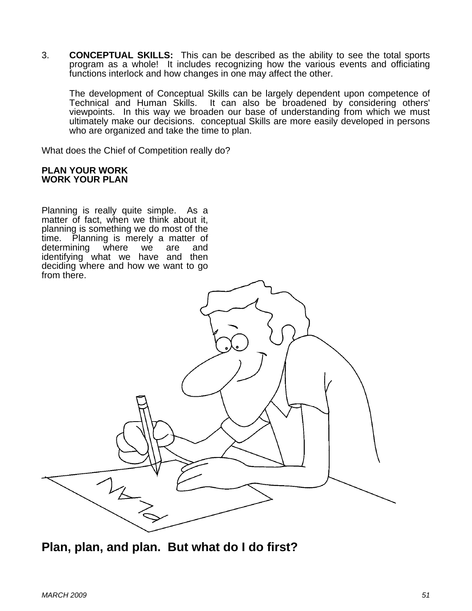3. **CONCEPTUAL SKILLS:** This can be described as the ability to see the total sports program as a whole! It includes recognizing how the various events and officiating functions interlock and how changes in one may affect the other.

 The development of Conceptual Skills can be largely dependent upon competence of Technical and Human Skills. It can also be broadened by considering others' viewpoints. In this way we broaden our base of understanding from which we must ultimately make our decisions. conceptual Skills are more easily developed in persons who are organized and take the time to plan.

What does the Chief of Competition really do?

#### **PLAN YOUR WORK WORK YOUR PLAN**

Planning is really quite simple. As a matter of fact, when we think about it, planning is something we do most of the time. Planning is merely a matter of determining where we are and determining where we are and identifying what we have and then deciding where and how we want to go from there.



**Plan, plan, and plan. But what do I do first?**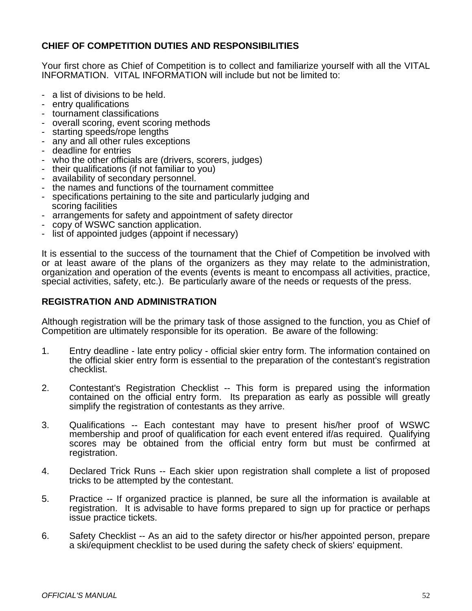# **CHIEF OF COMPETITION DUTIES AND RESPONSIBILITIES**

Your first chore as Chief of Competition is to collect and familiarize yourself with all the VITAL INFORMATION. VITAL INFORMATION will include but not be limited to:

- a list of divisions to be held.
- entry qualifications
- tournament classifications
- overall scoring, event scoring methods
- starting speeds/rope lengths
- any and all other rules exceptions
- deadline for entries
- who the other officials are (drivers, scorers, judges)
- their qualifications (if not familiar to you)
- availability of secondary personnel.
- the names and functions of the tournament committee
- specifications pertaining to the site and particularly judging and scoring facilities
- arrangements for safety and appointment of safety director
- copy of WSWC sanction application.
- list of appointed judges (appoint if necessary)

It is essential to the success of the tournament that the Chief of Competition be involved with or at least aware of the plans of the organizers as they may relate to the administration, organization and operation of the events (events is meant to encompass all activities, practice, special activities, safety, etc.). Be particularly aware of the needs or requests of the press.

# **REGISTRATION AND ADMINISTRATION**

Although registration will be the primary task of those assigned to the function, you as Chief of Competition are ultimately responsible for its operation. Be aware of the following:

- 1. Entry deadline late entry policy official skier entry form. The information contained on the official skier entry form is essential to the preparation of the contestant's registration checklist.
- 2. Contestant's Registration Checklist -- This form is prepared using the information contained on the official entry form. Its preparation as early as possible will greatly simplify the registration of contestants as they arrive.
- 3. Qualifications -- Each contestant may have to present his/her proof of WSWC membership and proof of qualification for each event entered if/as required. Qualifying scores may be obtained from the official entry form but must be confirmed at registration.
- 4. Declared Trick Runs -- Each skier upon registration shall complete a list of proposed tricks to be attempted by the contestant.
- 5. Practice -- If organized practice is planned, be sure all the information is available at registration. It is advisable to have forms prepared to sign up for practice or perhaps issue practice tickets.
- 6. Safety Checklist -- As an aid to the safety director or his/her appointed person, prepare a ski/equipment checklist to be used during the safety check of skiers' equipment.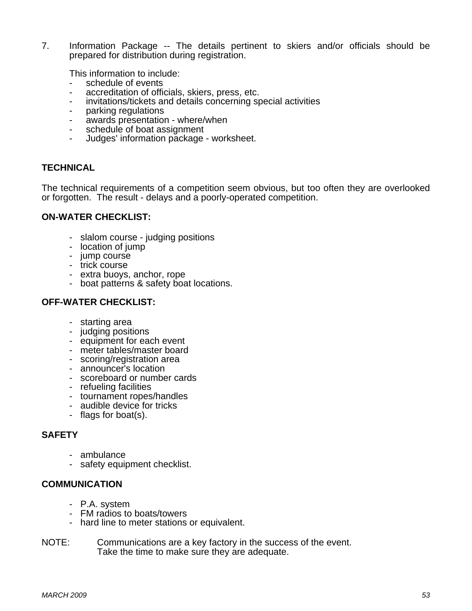7. Information Package -- The details pertinent to skiers and/or officials should be prepared for distribution during registration.

This information to include:

- schedule of events
- accreditation of officials, skiers, press, etc.
- invitations/tickets and details concerning special activities
- parking regulations
- awards presentation where/when
- schedule of boat assignment
- Judges' information package worksheet.

#### **TECHNICAL**

The technical requirements of a competition seem obvious, but too often they are overlooked or forgotten. The result - delays and a poorly-operated competition.

#### **ON-WATER CHECKLIST:**

- slalom course judging positions
- location of jump
- jump course
- trick course
	- extra buoys, anchor, rope
	- boat patterns & safety boat locations.

# **OFF-WATER CHECKLIST:**

- starting area
- judging positions
- equipment for each event
- meter tables/master board
- scoring/registration area
- announcer's location
- scoreboard or number cards
- refueling facilities
- tournament ropes/handles
- audible device for tricks
- flags for boat(s).

#### **SAFETY**

- ambulance
- safety equipment checklist.

# **COMMUNICATION**

- P.A. system
- FM radios to boats/towers
- hard line to meter stations or equivalent.
- NOTE: Communications are a key factory in the success of the event. Take the time to make sure they are adequate.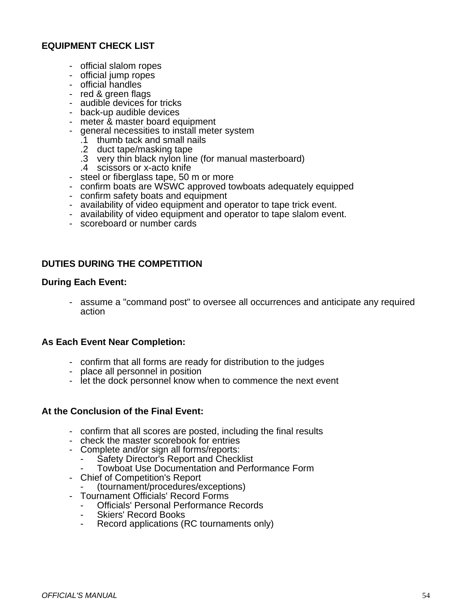# **EQUIPMENT CHECK LIST**

- official slalom ropes
- official jump ropes
- official handles
- red & green flags
- audible devices for tricks
- back-up audible devices
- meter & master board equipment
- general necessities to install meter system
	- .1 thumb tack and small nails
- .2 duct tape/masking tape
- .3 very thin black nylon line (for manual masterboard)
	- .4 scissors or x-acto knife
	- steel or fiberglass tape, 50 m or more
	- confirm boats are WSWC approved towboats adequately equipped
	- confirm safety boats and equipment
	- availability of video equipment and operator to tape trick event.
	- availability of video equipment and operator to tape slalom event.
	- scoreboard or number cards

# **DUTIES DURING THE COMPETITION**

# **During Each Event:**

 - assume a "command post" to oversee all occurrences and anticipate any required action

# **As Each Event Near Completion:**

- confirm that all forms are ready for distribution to the judges
- place all personnel in position
- let the dock personnel know when to commence the next event

#### **At the Conclusion of the Final Event:**

- confirm that all scores are posted, including the final results
- check the master scorebook for entries
- Complete and/or sign all forms/reports:
	- Safety Director's Report and Checklist
	- Towboat Use Documentation and Performance Form
- Chief of Competition's Report
	- (tournament/procedures/exceptions)
- Tournament Officials' Record Forms
	- Officials' Personal Performance Records
	- Skiers' Record Books
	- Record applications (RC tournaments only)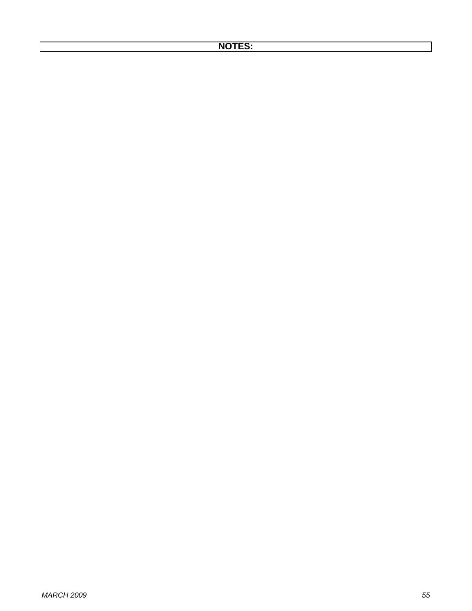# **NOTES:**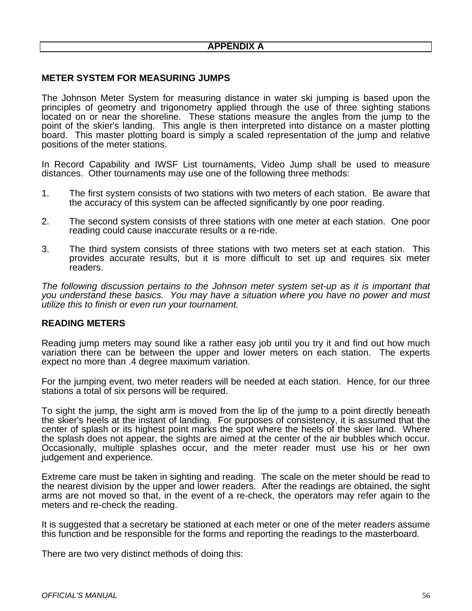# **METER SYSTEM FOR MEASURING JUMPS**

The Johnson Meter System for measuring distance in water ski jumping is based upon the principles of geometry and trigonometry applied through the use of three sighting stations located on or near the shoreline. These stations measure the angles from the jump to the point of the skier's landing. This angle is then interpreted into distance on a master plotting board. This master plotting board is simply a scaled representation of the jump and relative positions of the meter stations.

In Record Capability and IWSF List tournaments, Video Jump shall be used to measure distances. Other tournaments may use one of the following three methods:

- 1. The first system consists of two stations with two meters of each station. Be aware that the accuracy of this system can be affected significantly by one poor reading.
- 2. The second system consists of three stations with one meter at each station. One poor reading could cause inaccurate results or a re-ride.
- 3. The third system consists of three stations with two meters set at each station. This provides accurate results, but it is more difficult to set up and requires six meter readers.

*The following discussion pertains to the Johnson meter system set-up as it is important that you understand these basics. You may have a situation where you have no power and must utilize this to finish or even run your tournament.* 

#### **READING METERS**

Reading jump meters may sound like a rather easy job until you try it and find out how much variation there can be between the upper and lower meters on each station. The experts expect no more than .4 degree maximum variation.

For the jumping event, two meter readers will be needed at each station. Hence, for our three stations a total of six persons will be required.

To sight the jump, the sight arm is moved from the lip of the jump to a point directly beneath the skier's heels at the instant of landing. For purposes of consistency, it is assumed that the center of splash or its highest point marks the spot where the heels of the skier land. Where the splash does not appear, the sights are aimed at the center of the air bubbles which occur. Occasionally, multiple splashes occur, and the meter reader must use his or her own judgement and experience.

Extreme care must be taken in sighting and reading. The scale on the meter should be read to the nearest division by the upper and lower readers. After the readings are obtained, the sight arms are not moved so that, in the event of a re-check, the operators may refer again to the meters and re-check the reading.

It is suggested that a secretary be stationed at each meter or one of the meter readers assume this function and be responsible for the forms and reporting the readings to the masterboard.

There are two very distinct methods of doing this: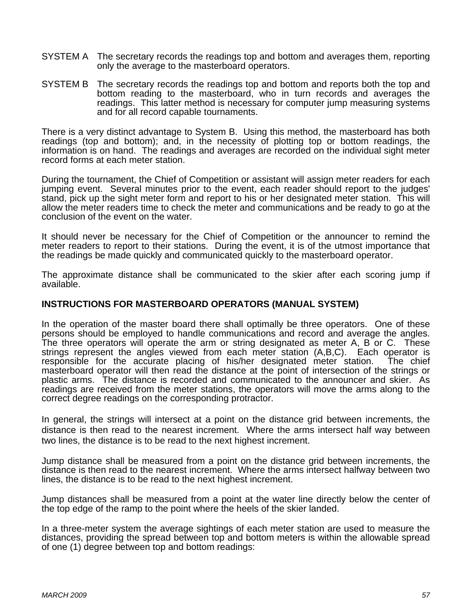- SYSTEM A The secretary records the readings top and bottom and averages them, reporting only the average to the masterboard operators.
- SYSTEM B The secretary records the readings top and bottom and reports both the top and bottom reading to the masterboard, who in turn records and averages the readings. This latter method is necessary for computer jump measuring systems and for all record capable tournaments.

There is a very distinct advantage to System B. Using this method, the masterboard has both readings (top and bottom); and, in the necessity of plotting top or bottom readings, the information is on hand. The readings and averages are recorded on the individual sight meter record forms at each meter station.

During the tournament, the Chief of Competition or assistant will assign meter readers for each jumping event. Several minutes prior to the event, each reader should report to the judges' stand, pick up the sight meter form and report to his or her designated meter station. This will allow the meter readers time to check the meter and communications and be ready to go at the conclusion of the event on the water.

It should never be necessary for the Chief of Competition or the announcer to remind the meter readers to report to their stations. During the event, it is of the utmost importance that the readings be made quickly and communicated quickly to the masterboard operator.

The approximate distance shall be communicated to the skier after each scoring jump if available.

#### **INSTRUCTIONS FOR MASTERBOARD OPERATORS (MANUAL SYSTEM)**

In the operation of the master board there shall optimally be three operators. One of these persons should be employed to handle communications and record and average the angles. The three operators will operate the arm or string designated as meter A, B or C. These strings represent the angles viewed from each meter station (A,B,C). Each operator is responsible for the accurate placing of his/her designated meter station. The chief masterboard operator will then read the distance at the point of intersection of the strings or plastic arms. The distance is recorded and communicated to the announcer and skier. As readings are received from the meter stations, the operators will move the arms along to the correct degree readings on the corresponding protractor.

In general, the strings will intersect at a point on the distance grid between increments, the distance is then read to the nearest increment. Where the arms intersect half way between two lines, the distance is to be read to the next highest increment.

Jump distance shall be measured from a point on the distance grid between increments, the distance is then read to the nearest increment. Where the arms intersect halfway between two lines, the distance is to be read to the next highest increment.

Jump distances shall be measured from a point at the water line directly below the center of the top edge of the ramp to the point where the heels of the skier landed.

In a three-meter system the average sightings of each meter station are used to measure the distances, providing the spread between top and bottom meters is within the allowable spread of one (1) degree between top and bottom readings: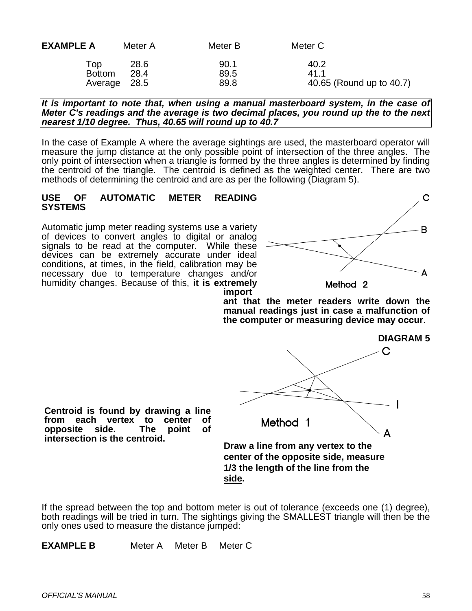| <b>EXAMPLE A</b>                     | Meter A      | Meter B              | Meter C                                  |
|--------------------------------------|--------------|----------------------|------------------------------------------|
| Top<br><b>Bottom</b><br>Average 28.5 | 28.6<br>28.4 | 90.1<br>89.5<br>89.8 | 40.2<br>41 1<br>40.65 (Round up to 40.7) |

*It is important to note that, when using a manual masterboard system, in the case of Meter C's readings and the average is two decimal places, you round up the to the next nearest 1/10 degree. Thus, 40.65 will round up to 40.7*

In the case of Example A where the average sightings are used, the masterboard operator will measure the jump distance at the only possible point of intersection of the three angles. The only point of intersection when a triangle is formed by the three angles is determined by finding the centroid of the triangle. The centroid is defined as the weighted center. There are two methods of determining the centroid and are as per the following (Diagram 5).

#### **USE OF AUTOMATIC METER READING SYSTEMS**

Automatic jump meter reading systems use a variety of devices to convert angles to digital or analog signals to be read at the computer. While these devices can be extremely accurate under ideal conditions, at times, in the field, calibration may be necessary due to temperature changes and/or humidity changes. Because of this, **it is extremely** 



**import ant that the meter readers write down the manual readings just in case a malfunction of the computer or measuring device may occur**.



**Draw a line from any vertex to the center of the opposite side, measure 1/3 the length of the line from the side.**

If the spread between the top and bottom meter is out of tolerance (exceeds one (1) degree), both readings will be tried in turn. The sightings giving the SMALLEST triangle will then be the only ones used to measure the distance jumped:

**EXAMPLE B** Meter A Meter B Meter C

**Centroid is found by drawing a line from each vertex to center of** 

**intersection is the centroid.** 

**opposite**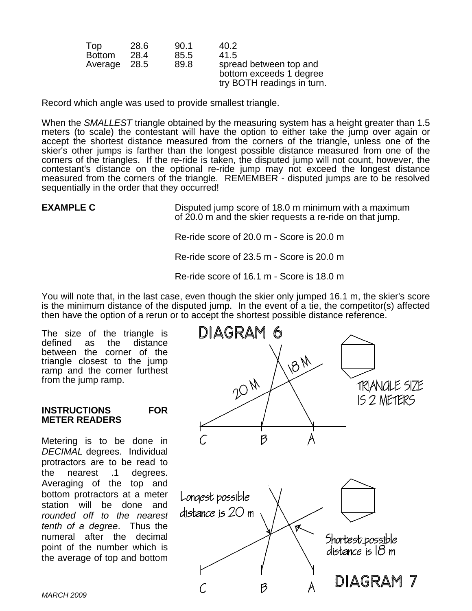| Top           | 28.6 | 90.1 | 40.2                                                                            |
|---------------|------|------|---------------------------------------------------------------------------------|
| <b>Bottom</b> | 28.4 | 85.5 | 41.5                                                                            |
| Average 28.5  |      | 89.8 | spread between top and<br>bottom exceeds 1 degree<br>try BOTH readings in turn. |

Record which angle was used to provide smallest triangle.

When the *SMALLEST* triangle obtained by the measuring system has a height greater than 1.5 meters (to scale) the contestant will have the option to either take the jump over again or accept the shortest distance measured from the corners of the triangle, unless one of the skier's other jumps is farther than the longest possible distance measured from one of the corners of the triangles. If the re-ride is taken, the disputed jump will not count, however, the contestant's distance on the optional re-ride jump may not exceed the longest distance measured from the corners of the triangle. REMEMBER - disputed jumps are to be resolved sequentially in the order that they occurred!

**EXAMPLE C** Disputed jump score of 18.0 m minimum with a maximum of 20.0 m and the skier requests a re-ride on that jump.

Re-ride score of 20.0 m - Score is 20.0 m

Re-ride score of 23.5 m - Score is 20.0 m

Re-ride score of 16.1 m - Score is 18.0 m

You will note that, in the last case, even though the skier only jumped 16.1 m, the skier's score is the minimum distance of the disputed jump. In the event of a tie, the competitor(s) affected then have the option of a rerun or to accept the shortest possible distance reference.

The size of the triangle is<br>defined as the distance distance between the corner of the triangle closest to the jump ramp and the corner furthest from the jump ramp.

#### **INSTRUCTIONS FOR METER READERS**

Metering is to be done in *DECIMAL* degrees. Individual protractors are to be read to the nearest .1 degrees. Averaging of the top and bottom protractors at a meter station will be done and *rounded off to the nearest tenth of a degree*. Thus the numeral after the decimal point of the number which is the average of top and bottom

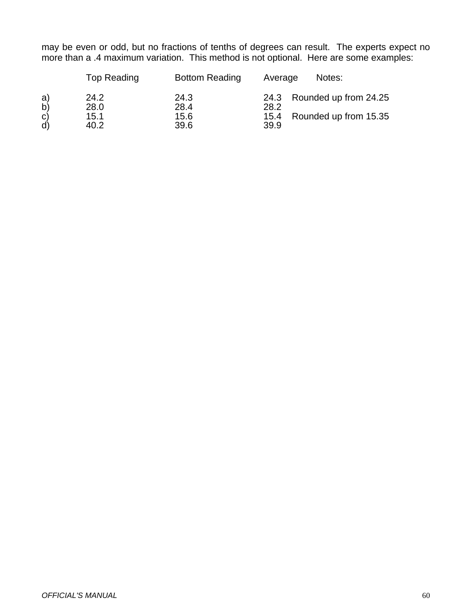may be even or odd, but no fractions of tenths of degrees can result. The experts expect no more than a .4 maximum variation. This method is not optional. Here are some examples:

|                                | Top Reading                  | <b>Bottom Reading</b>        | Notes:<br>Average                                                        |
|--------------------------------|------------------------------|------------------------------|--------------------------------------------------------------------------|
| a)<br>b)<br>$\mathbf{C}$<br>d) | 24.2<br>28.0<br>15.1<br>40.2 | 24.3<br>28.4<br>15.6<br>39.6 | 24.3 Rounded up from 24.25<br>28.2<br>15.4 Rounded up from 15.35<br>39.9 |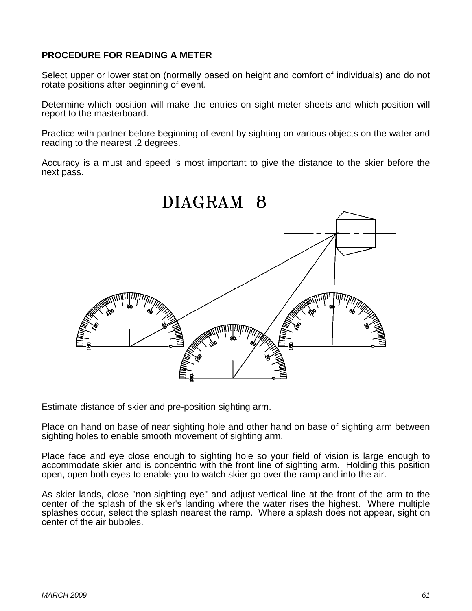# **PROCEDURE FOR READING A METER**

Select upper or lower station (normally based on height and comfort of individuals) and do not rotate positions after beginning of event.

Determine which position will make the entries on sight meter sheets and which position will report to the masterboard.

Practice with partner before beginning of event by sighting on various objects on the water and reading to the nearest .2 degrees.

Accuracy is a must and speed is most important to give the distance to the skier before the next pass.



Estimate distance of skier and pre-position sighting arm.

Place on hand on base of near sighting hole and other hand on base of sighting arm between sighting holes to enable smooth movement of sighting arm.

Place face and eye close enough to sighting hole so your field of vision is large enough to accommodate skier and is concentric with the front line of sighting arm. Holding this position open, open both eyes to enable you to watch skier go over the ramp and into the air.

As skier lands, close "non-sighting eye" and adjust vertical line at the front of the arm to the center of the splash of the skier's landing where the water rises the highest. Where multiple splashes occur, select the splash nearest the ramp. Where a splash does not appear, sight on center of the air bubbles.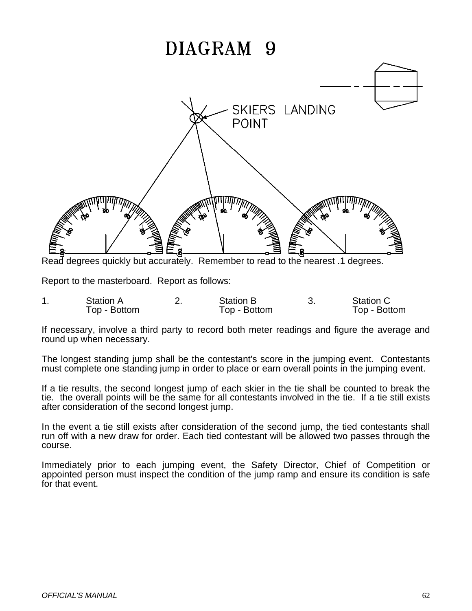# DIAGRAM 9



Read degrees quickly but accurately. Remember to read to the nearest .1 degrees.

Report to the masterboard. Report as follows:

| Station A    | <b>Station B</b> | <b>Station C</b> |
|--------------|------------------|------------------|
| Top - Bottom | Top - Bottom     | Top - Bottom     |

If necessary, involve a third party to record both meter readings and figure the average and round up when necessary.

The longest standing jump shall be the contestant's score in the jumping event. Contestants must complete one standing jump in order to place or earn overall points in the jumping event.

If a tie results, the second longest jump of each skier in the tie shall be counted to break the tie. the overall points will be the same for all contestants involved in the tie. If a tie still exists after consideration of the second longest jump.

In the event a tie still exists after consideration of the second jump, the tied contestants shall run off with a new draw for order. Each tied contestant will be allowed two passes through the course.

Immediately prior to each jumping event, the Safety Director, Chief of Competition or appointed person must inspect the condition of the jump ramp and ensure its condition is safe for that event.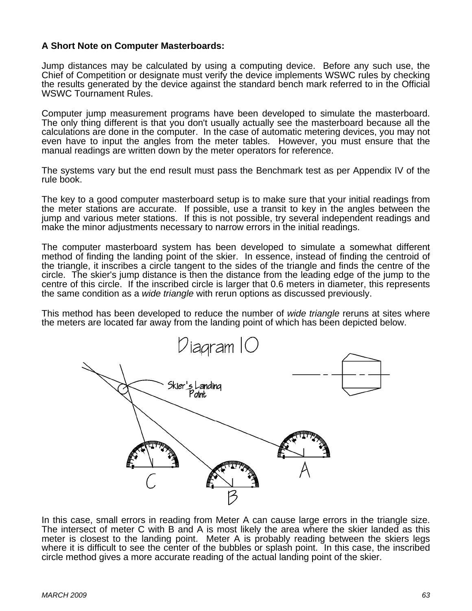# **A Short Note on Computer Masterboards:**

Jump distances may be calculated by using a computing device. Before any such use, the Chief of Competition or designate must verify the device implements WSWC rules by checking the results generated by the device against the standard bench mark referred to in the Official WSWC Tournament Rules.

Computer jump measurement programs have been developed to simulate the masterboard. The only thing different is that you don't usually actually see the masterboard because all the calculations are done in the computer. In the case of automatic metering devices, you may not even have to input the angles from the meter tables. However, you must ensure that the manual readings are written down by the meter operators for reference.

The systems vary but the end result must pass the Benchmark test as per Appendix IV of the rule book.

The key to a good computer masterboard setup is to make sure that your initial readings from the meter stations are accurate. If possible, use a transit to key in the angles between the jump and various meter stations. If this is not possible, try several independent readings and make the minor adjustments necessary to narrow errors in the initial readings.

The computer masterboard system has been developed to simulate a somewhat different method of finding the landing point of the skier. In essence, instead of finding the centroid of the triangle, it inscribes a circle tangent to the sides of the triangle and finds the centre of the circle. The skier's jump distance is then the distance from the leading edge of the jump to the centre of this circle. If the inscribed circle is larger that 0.6 meters in diameter, this represents the same condition as a *wide triangle* with rerun options as discussed previously.

This method has been developed to reduce the number of *wide triangle* reruns at sites where the meters are located far away from the landing point of which has been depicted below.



In this case, small errors in reading from Meter A can cause large errors in the triangle size. The intersect of meter C with B and A is most likely the area where the skier landed as this meter is closest to the landing point. Meter A is probably reading between the skiers legs where it is difficult to see the center of the bubbles or splash point. In this case, the inscribed circle method gives a more accurate reading of the actual landing point of the skier.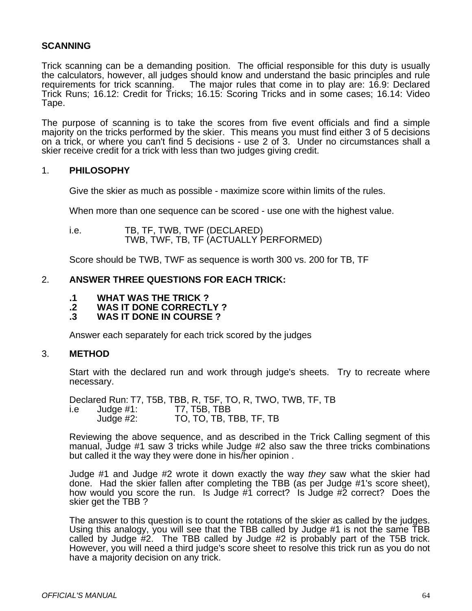# **SCANNING**

Trick scanning can be a demanding position. The official responsible for this duty is usually the calculators, however, all judges should know and understand the basic principles and rule requirements for trick scanning. The major rules that come in to play are: 16.9: Declared The major rules that come in to play are: 16.9: Declared Trick Runs; 16.12: Credit for Tricks; 16.15: Scoring Tricks and in some cases; 16.14: Video Tape.

The purpose of scanning is to take the scores from five event officials and find a simple majority on the tricks performed by the skier. This means you must find either 3 of 5 decisions on a trick, or where you can't find 5 decisions - use 2 of 3. Under no circumstances shall a skier receive credit for a trick with less than two judges giving credit.

#### 1. **PHILOSOPHY**

Give the skier as much as possible - maximize score within limits of the rules.

When more than one sequence can be scored - use one with the highest value.

i.e. TB, TF, TWB, TWF (DECLARED) TWB, TWF, TB, TF (ACTUALLY PERFORMED)

Score should be TWB, TWF as sequence is worth 300 vs. 200 for TB, TF

#### 2. **ANSWER THREE QUESTIONS FOR EACH TRICK:**

- **.1 WHAT WAS THE TRICK ?**
- **.2 WAS IT DONE CORRECTLY ?**
- **.3 WAS IT DONE IN COURSE ?**

Answer each separately for each trick scored by the judges

#### 3. **METHOD**

 Start with the declared run and work through judge's sheets. Try to recreate where necessary.

 Declared Run: T7, T5B, TBB, R, T5F, TO, R, TWO, TWB, TF, TB i.e Judge #1: T7, T5B, TBB Judge #2: TO, TO, TB, TBB, TF, TB

Reviewing the above sequence, and as described in the Trick Calling segment of this manual, Judge #1 saw 3 tricks while Judge #2 also saw the three tricks combinations but called it the way they were done in his/her opinion .

Judge #1 and Judge #2 wrote it down exactly the way *they* saw what the skier had done. Had the skier fallen after completing the TBB (as per Judge #1's score sheet), how would you score the run. Is Judge #1 correct? Is Judge #2 correct? Does the skier get the TBB ?

The answer to this question is to count the rotations of the skier as called by the judges. Using this analogy, you will see that the TBB called by Judge #1 is not the same TBB called by Judge #2. The TBB called by Judge #2 is probably part of the T5B trick. However, you will need a third judge's score sheet to resolve this trick run as you do not have a majority decision on any trick.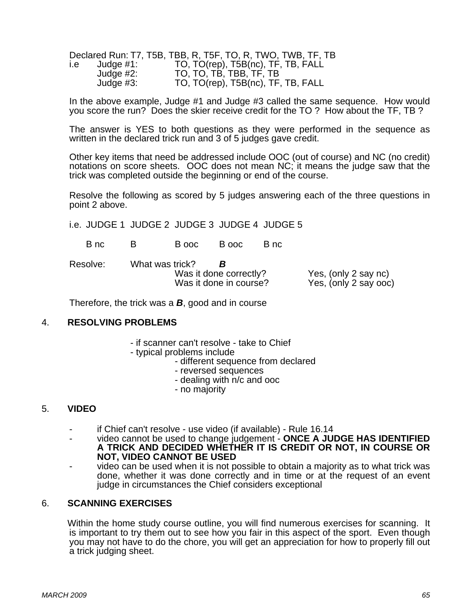|       |              | Declared Run: T7, T5B, TBB, R, T5F, TO, R, TWO, TWB, TF, TB |
|-------|--------------|-------------------------------------------------------------|
| l.e i | Judge #1:    | TO, TO(rep), T5B(nc), TF, TB, FALL                          |
|       | Judge $#2$ : | TO, TO, TB, TBB, TF, TB                                     |
|       | Judge $#3$ : | TO, TO(rep), T5B(nc), TF, TB, FALL                          |

In the above example, Judge #1 and Judge #3 called the same sequence. How would you score the run? Does the skier receive credit for the TO ? How about the TF, TB ?

The answer is YES to both questions as they were performed in the sequence as written in the declared trick run and 3 of 5 judges gave credit.

Other key items that need be addressed include OOC (out of course) and NC (no credit) notations on score sheets. OOC does not mean NC; it means the judge saw that the trick was completed outside the beginning or end of the course.

Resolve the following as scored by 5 judges answering each of the three questions in point 2 above.

i.e. JUDGE 1 JUDGE 2 JUDGE 3 JUDGE 4 JUDGE 5

B nc B B ooc B ooc B nc

Resolve: What was trick? *B* Was it done correctly?<br>
Was it done in course?<br>
Yes. (only 2 say ooc

Yes, (only  $2$  say  $\sigma$ oc)

Therefore, the trick was a *B*, good and in course

#### 4. **RESOLVING PROBLEMS**

- if scanner can't resolve take to Chief
- typical problems include
	- different sequence from declared
	- reversed sequences
	- dealing with n/c and ooc
	- no majority

# 5. **VIDEO**

- if Chief can't resolve use video (if available) Rule 16.14
- video cannot be used to change judgement - **ONCE A JUDGE HAS IDENTIFIED A TRICK AND DECIDED WHETHER IT IS CREDIT OR NOT, IN COURSE OR NOT, VIDEO CANNOT BE USED**
- video can be used when it is not possible to obtain a majority as to what trick was done, whether it was done correctly and in time or at the request of an event judge in circumstances the Chief considers exceptional

#### 6. **SCANNING EXERCISES**

Within the home study course outline, you will find numerous exercises for scanning. It is important to try them out to see how you fair in this aspect of the sport. Even though you may not have to do the chore, you will get an appreciation for how to properly fill out a trick judging sheet.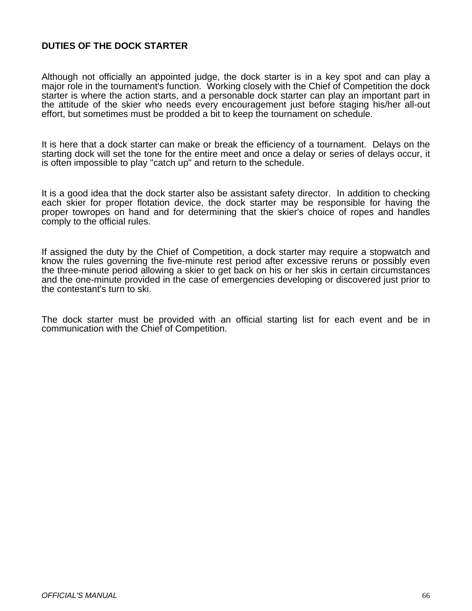# **DUTIES OF THE DOCK STARTER**

Although not officially an appointed judge, the dock starter is in a key spot and can play a major role in the tournament's function. Working closely with the Chief of Competition the dock starter is where the action starts, and a personable dock starter can play an important part in the attitude of the skier who needs every encouragement just before staging his/her all-out effort, but sometimes must be prodded a bit to keep the tournament on schedule.

It is here that a dock starter can make or break the efficiency of a tournament. Delays on the starting dock will set the tone for the entire meet and once a delay or series of delays occur, it is often impossible to play "catch up" and return to the schedule.

It is a good idea that the dock starter also be assistant safety director. In addition to checking each skier for proper flotation device, the dock starter may be responsible for having the proper towropes on hand and for determining that the skier's choice of ropes and handles comply to the official rules.

If assigned the duty by the Chief of Competition, a dock starter may require a stopwatch and know the rules governing the five-minute rest period after excessive reruns or possibly even the three-minute period allowing a skier to get back on his or her skis in certain circumstances and the one-minute provided in the case of emergencies developing or discovered just prior to the contestant's turn to ski.

The dock starter must be provided with an official starting list for each event and be in communication with the Chief of Competition.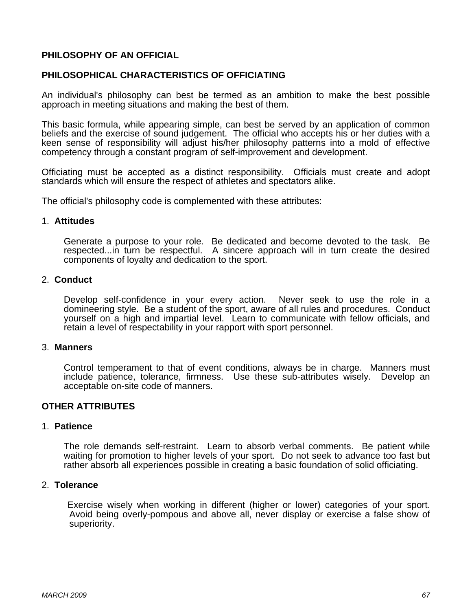# **PHILOSOPHY OF AN OFFICIAL**

# **PHILOSOPHICAL CHARACTERISTICS OF OFFICIATING**

An individual's philosophy can best be termed as an ambition to make the best possible approach in meeting situations and making the best of them.

This basic formula, while appearing simple, can best be served by an application of common beliefs and the exercise of sound judgement. The official who accepts his or her duties with a keen sense of responsibility will adjust his/her philosophy patterns into a mold of effective competency through a constant program of self-improvement and development.

Officiating must be accepted as a distinct responsibility. Officials must create and adopt standards which will ensure the respect of athletes and spectators alike.

The official's philosophy code is complemented with these attributes:

#### 1. **Attitudes**

Generate a purpose to your role. Be dedicated and become devoted to the task. Be respected...in turn be respectful. A sincere approach will in turn create the desired components of loyalty and dedication to the sport.

#### 2. **Conduct**

Develop self-confidence in your every action. Never seek to use the role in a domineering style. Be a student of the sport, aware of all rules and procedures. Conduct yourself on a high and impartial level. Learn to communicate with fellow officials, and retain a level of respectability in your rapport with sport personnel.

#### 3. **Manners**

Control temperament to that of event conditions, always be in charge. Manners must include patience, tolerance, firmness. Use these sub-attributes wisely. Develop an acceptable on-site code of manners.

#### **OTHER ATTRIBUTES**

#### 1. **Patience**

The role demands self-restraint. Learn to absorb verbal comments. Be patient while waiting for promotion to higher levels of your sport. Do not seek to advance too fast but rather absorb all experiences possible in creating a basic foundation of solid officiating.

#### 2. **Tolerance**

 Exercise wisely when working in different (higher or lower) categories of your sport. Avoid being overly-pompous and above all, never display or exercise a false show of superiority.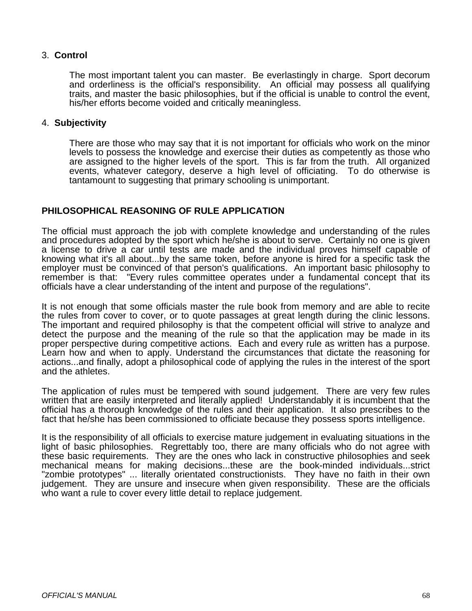# 3. **Control**

The most important talent you can master. Be everlastingly in charge. Sport decorum and orderliness is the official's responsibility. An official may possess all qualifying traits, and master the basic philosophies, but if the official is unable to control the event, his/her efforts become voided and critically meaningless.

#### 4. **Subjectivity**

There are those who may say that it is not important for officials who work on the minor levels to possess the knowledge and exercise their duties as competently as those who are assigned to the higher levels of the sport. This is far from the truth. All organized events, whatever category, deserve a high level of officiating. To do otherwise is tantamount to suggesting that primary schooling is unimportant.

#### **PHILOSOPHICAL REASONING OF RULE APPLICATION**

The official must approach the job with complete knowledge and understanding of the rules and procedures adopted by the sport which he/she is about to serve. Certainly no one is given a license to drive a car until tests are made and the individual proves himself capable of knowing what it's all about...by the same token, before anyone is hired for a specific task the employer must be convinced of that person's qualifications. An important basic philosophy to remember is that: "Every rules committee operates under a fundamental concept that its officials have a clear understanding of the intent and purpose of the regulations".

It is not enough that some officials master the rule book from memory and are able to recite the rules from cover to cover, or to quote passages at great length during the clinic lessons. The important and required philosophy is that the competent official will strive to analyze and detect the purpose and the meaning of the rule so that the application may be made in its proper perspective during competitive actions. Each and every rule as written has a purpose. Learn how and when to apply. Understand the circumstances that dictate the reasoning for actions...and finally, adopt a philosophical code of applying the rules in the interest of the sport and the athletes.

The application of rules must be tempered with sound judgement. There are very few rules written that are easily interpreted and literally applied! Understandably it is incumbent that the official has a thorough knowledge of the rules and their application. It also prescribes to the fact that he/she has been commissioned to officiate because they possess sports intelligence.

It is the responsibility of all officials to exercise mature judgement in evaluating situations in the light of basic philosophies. Regrettably too, there are many officials who do not agree with these basic requirements. They are the ones who lack in constructive philosophies and seek mechanical means for making decisions...these are the book-minded individuals...strict "zombie prototypes" ... literally orientated constructionists. They have no faith in their own judgement. They are unsure and insecure when given responsibility. These are the officials who want a rule to cover every little detail to replace judgement.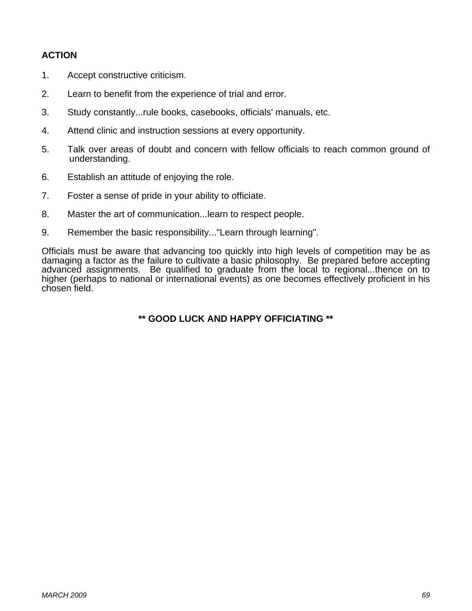# **ACTION**

- 1. Accept constructive criticism.
- 2. Learn to benefit from the experience of trial and error.
- 3. Study constantly...rule books, casebooks, officials' manuals, etc.
- 4. Attend clinic and instruction sessions at every opportunity.
- 5. Talk over areas of doubt and concern with fellow officials to reach common ground of understanding.
- 6. Establish an attitude of enjoying the role.
- 7. Foster a sense of pride in your ability to officiate.
- 8. Master the art of communication...learn to respect people.
- 9. Remember the basic responsibility..."Learn through learning".

Officials must be aware that advancing too quickly into high levels of competition may be as damaging a factor as the failure to cultivate a basic philosophy. Be prepared before accepting advanced assignments. Be qualified to graduate from the local to regional...thence on to higher (perhaps to national or international events) as one becomes effectively proficient in his chosen field.

# **\*\* GOOD LUCK AND HAPPY OFFICIATING \*\***